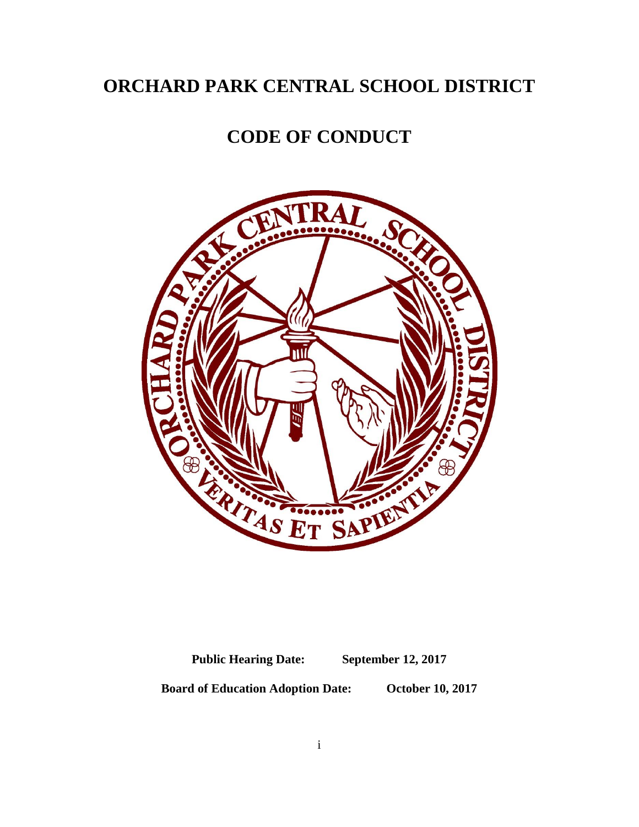# **ORCHARD PARK CENTRAL SCHOOL DISTRICT**

# **CODE OF CONDUCT**



**Public Hearing Date: September 12, 2017**

**Board of Education Adoption Date: October 10, 2017**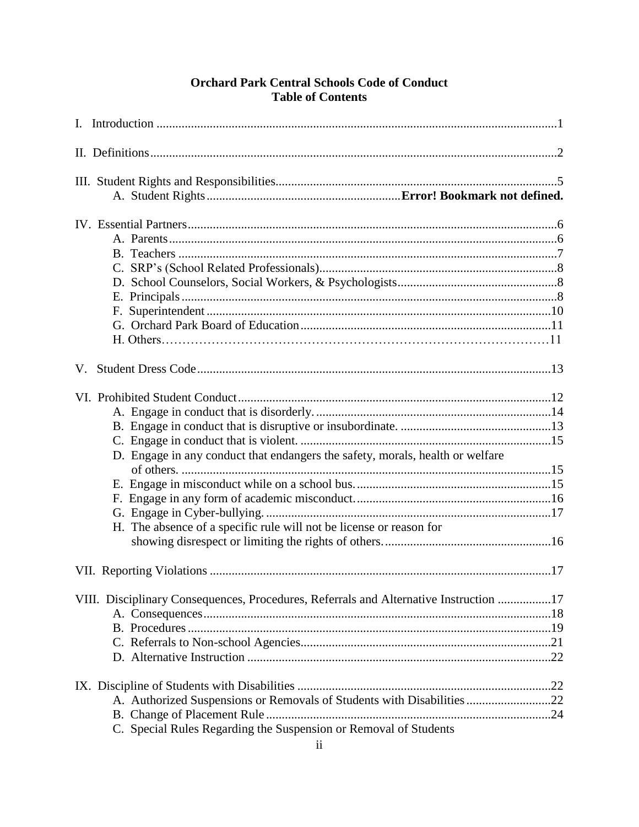# **Orchard Park Central Schools Code of Conduct Table of Contents**

| V. |                                                                                       |  |
|----|---------------------------------------------------------------------------------------|--|
|    |                                                                                       |  |
|    |                                                                                       |  |
|    |                                                                                       |  |
|    |                                                                                       |  |
|    | D. Engage in any conduct that endangers the safety, morals, health or welfare         |  |
|    |                                                                                       |  |
|    |                                                                                       |  |
|    |                                                                                       |  |
|    |                                                                                       |  |
|    | H. The absence of a specific rule will not be license or reason for                   |  |
|    |                                                                                       |  |
|    |                                                                                       |  |
|    |                                                                                       |  |
|    | VIII. Disciplinary Consequences, Procedures, Referrals and Alternative Instruction 17 |  |
|    |                                                                                       |  |
|    |                                                                                       |  |
|    |                                                                                       |  |
|    |                                                                                       |  |
|    |                                                                                       |  |
|    | A. Authorized Suspensions or Removals of Students with Disabilities 22                |  |
|    |                                                                                       |  |
|    | C. Special Rules Regarding the Suspension or Removal of Students                      |  |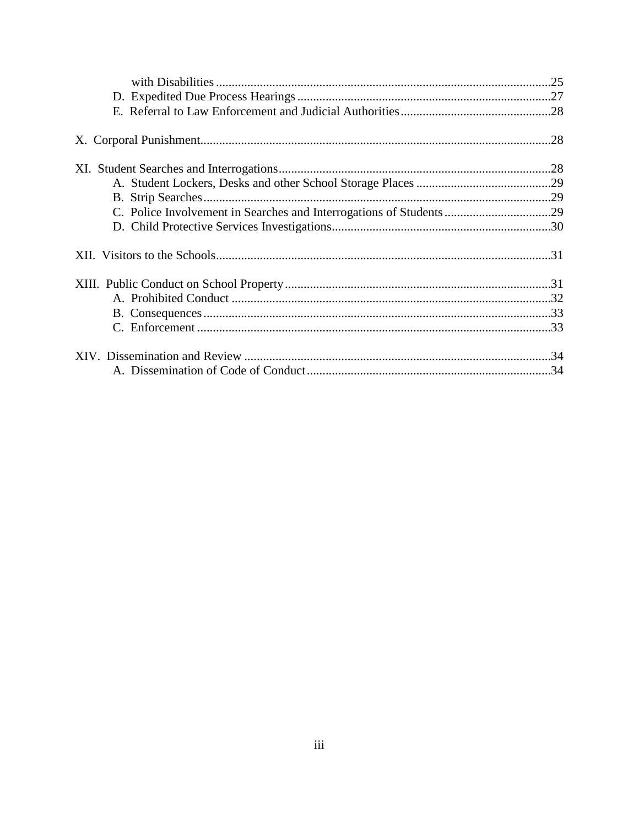| C. Police Involvement in Searches and Interrogations of Students 29 |  |
|---------------------------------------------------------------------|--|
|                                                                     |  |
|                                                                     |  |
|                                                                     |  |
|                                                                     |  |
|                                                                     |  |
|                                                                     |  |
|                                                                     |  |
|                                                                     |  |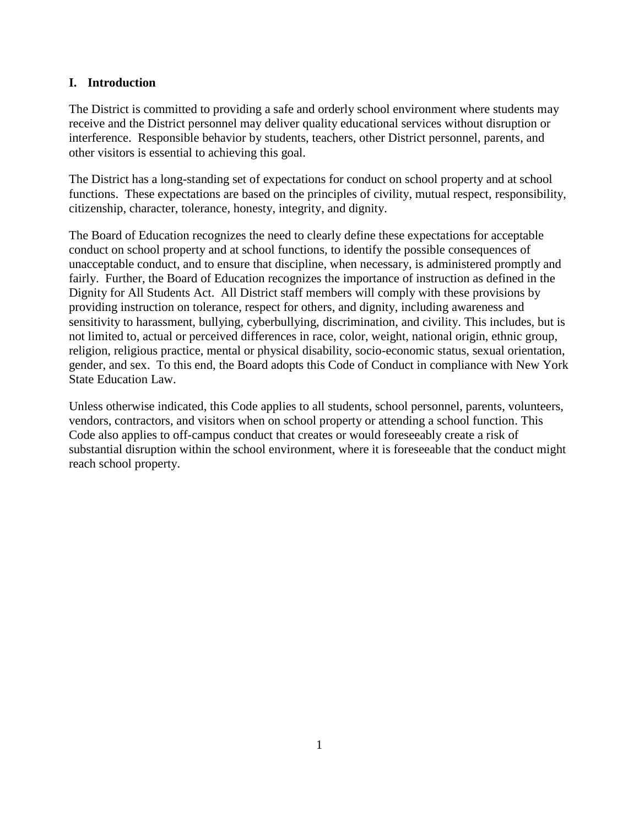# **I. Introduction**

The District is committed to providing a safe and orderly school environment where students may receive and the District personnel may deliver quality educational services without disruption or interference. Responsible behavior by students, teachers, other District personnel, parents, and other visitors is essential to achieving this goal.

The District has a long-standing set of expectations for conduct on school property and at school functions. These expectations are based on the principles of civility, mutual respect, responsibility, citizenship, character, tolerance, honesty, integrity, and dignity.

The Board of Education recognizes the need to clearly define these expectations for acceptable conduct on school property and at school functions, to identify the possible consequences of unacceptable conduct, and to ensure that discipline, when necessary, is administered promptly and fairly. Further, the Board of Education recognizes the importance of instruction as defined in the Dignity for All Students Act. All District staff members will comply with these provisions by providing instruction on tolerance, respect for others, and dignity, including awareness and sensitivity to harassment, bullying, cyberbullying, discrimination, and civility. This includes, but is not limited to, actual or perceived differences in race, color, weight, national origin, ethnic group, religion, religious practice, mental or physical disability, socio-economic status, sexual orientation, gender, and sex. To this end, the Board adopts this Code of Conduct in compliance with New York State Education Law.

Unless otherwise indicated, this Code applies to all students, school personnel, parents, volunteers, vendors, contractors, and visitors when on school property or attending a school function. This Code also applies to off-campus conduct that creates or would foreseeably create a risk of substantial disruption within the school environment, where it is foreseeable that the conduct might reach school property.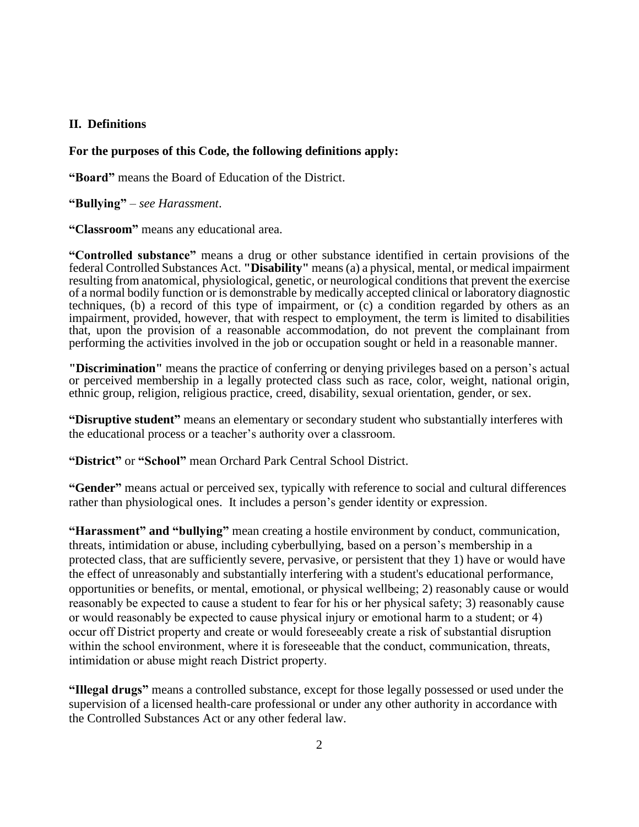### **II. Definitions**

#### **For the purposes of this Code, the following definitions apply:**

**"Board"** means the Board of Education of the District.

**"Bullying"** – *see Harassment*.

**"Classroom"** means any educational area.

**"Controlled substance"** means a drug or other substance identified in certain provisions of the federal Controlled Substances Act. **"Disability"** means (a) a physical, mental, or medical impairment resulting from anatomical, physiological, genetic, or neurological conditions that prevent the exercise of a normal bodily function or is demonstrable by medically accepted clinical or laboratory diagnostic techniques, (b) a record of this type of impairment, or (c) a condition regarded by others as an impairment, provided, however, that with respect to employment, the term is limited to disabilities that, upon the provision of a reasonable accommodation, do not prevent the complainant from performing the activities involved in the job or occupation sought or held in a reasonable manner.

**"Discrimination"** means the practice of conferring or denying privileges based on a person's actual or perceived membership in a legally protected class such as race, color, weight, national origin, ethnic group, religion, religious practice, creed, disability, sexual orientation, gender, or sex*.*

**"Disruptive student"** means an elementary or secondary student who substantially interferes with the educational process or a teacher's authority over a classroom.

**"District"** or **"School"** mean Orchard Park Central School District.

**"Gender"** means actual or perceived sex, typically with reference to social and cultural differences rather than physiological ones. It includes a person's gender identity or expression.

**"Harassment" and "bullying"** mean creating a hostile environment by conduct, communication, threats, intimidation or abuse, including cyberbullying, based on a person's membership in a protected class, that are sufficiently severe, pervasive, or persistent that they 1) have or would have the effect of unreasonably and substantially interfering with a student's educational performance, opportunities or benefits, or mental, emotional, or physical wellbeing; 2) reasonably cause or would reasonably be expected to cause a student to fear for his or her physical safety; 3) reasonably cause or would reasonably be expected to cause physical injury or emotional harm to a student; or 4) occur off District property and create or would foreseeably create a risk of substantial disruption within the school environment, where it is foreseeable that the conduct, communication, threats, intimidation or abuse might reach District property.

**"Illegal drugs"** means a controlled substance, except for those legally possessed or used under the supervision of a licensed health-care professional or under any other authority in accordance with the Controlled Substances Act or any other federal law.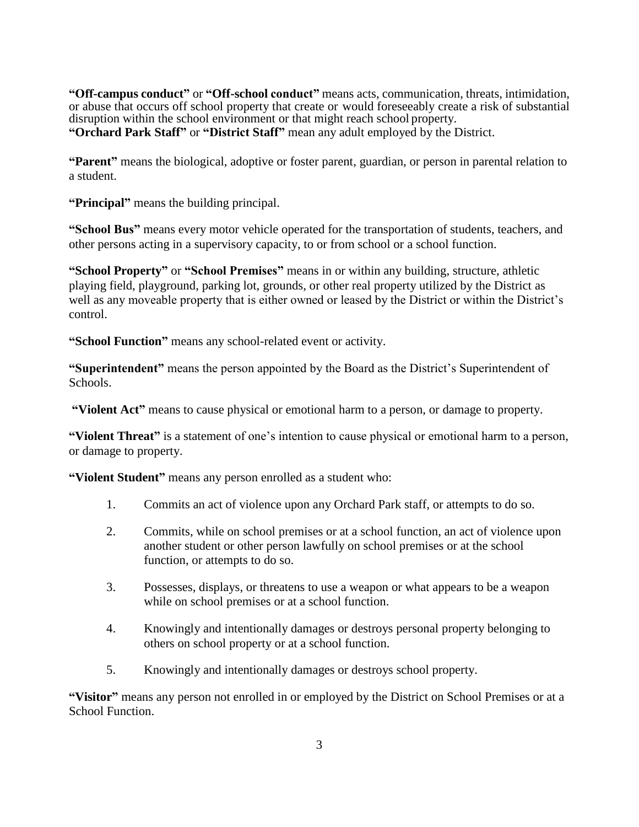**"Off-campus conduct"** or **"Off-school conduct"** means acts, communication, threats, intimidation, or abuse that occurs off school property that create or would foreseeably create a risk of substantial disruption within the school environment or that might reach school property. **"Orchard Park Staff"** or **"District Staff"** mean any adult employed by the District.

**"Parent"** means the biological, adoptive or foster parent, guardian, or person in parental relation to a student.

**"Principal"** means the building principal.

**"School Bus"** means every motor vehicle operated for the transportation of students, teachers, and other persons acting in a supervisory capacity, to or from school or a school function.

**"School Property"** or **"School Premises"** means in or within any building, structure, athletic playing field, playground, parking lot, grounds, or other real property utilized by the District as well as any moveable property that is either owned or leased by the District or within the District's control.

**"School Function"** means any school-related event or activity.

**"Superintendent"** means the person appointed by the Board as the District's Superintendent of Schools.

**"Violent Act"** means to cause physical or emotional harm to a person, or damage to property.

**"Violent Threat"** is a statement of one's intention to cause physical or emotional harm to a person, or damage to property.

**"Violent Student"** means any person enrolled as a student who:

- 1. Commits an act of violence upon any Orchard Park staff, or attempts to do so.
- 2. Commits, while on school premises or at a school function, an act of violence upon another student or other person lawfully on school premises or at the school function, or attempts to do so.
- 3. Possesses, displays, or threatens to use a weapon or what appears to be a weapon while on school premises or at a school function.
- 4. Knowingly and intentionally damages or destroys personal property belonging to others on school property or at a school function.
- 5. Knowingly and intentionally damages or destroys school property.

**"Visitor"** means any person not enrolled in or employed by the District on School Premises or at a School Function.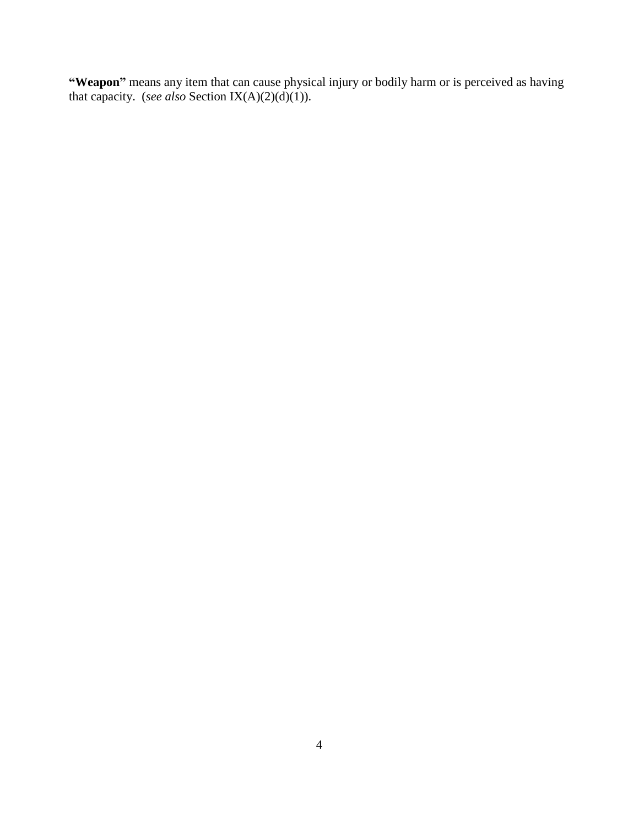**"Weapon"** means any item that can cause physical injury or bodily harm or is perceived as having that capacity. (*see also* Section IX(A)(2)(d)(1)).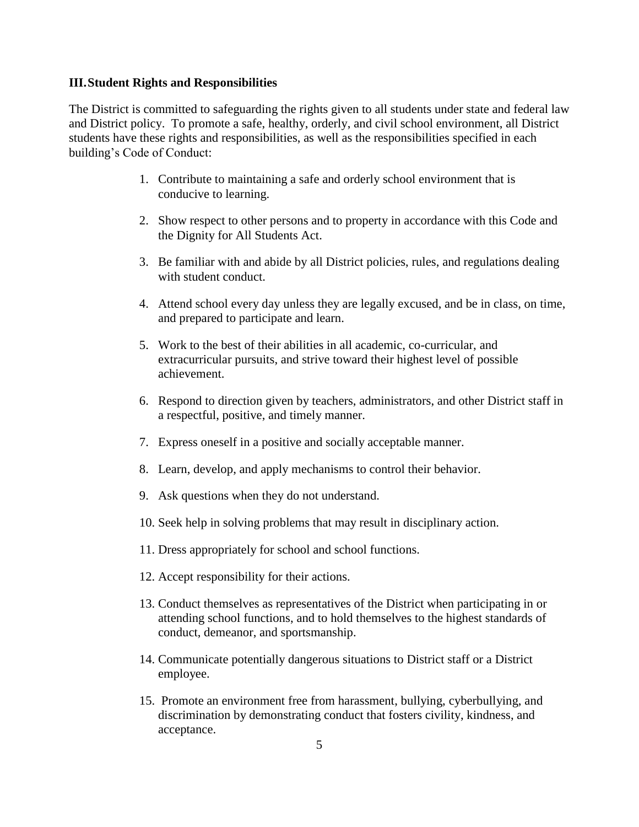## **III.Student Rights and Responsibilities**

The District is committed to safeguarding the rights given to all students under state and federal law and District policy. To promote a safe, healthy, orderly, and civil school environment, all District students have these rights and responsibilities, as well as the responsibilities specified in each building's Code of Conduct:

- 1. Contribute to maintaining a safe and orderly school environment that is conducive to learning.
- 2. Show respect to other persons and to property in accordance with this Code and the Dignity for All Students Act.
- 3. Be familiar with and abide by all District policies, rules, and regulations dealing with student conduct.
- 4. Attend school every day unless they are legally excused, and be in class, on time, and prepared to participate and learn.
- 5. Work to the best of their abilities in all academic, co-curricular, and extracurricular pursuits, and strive toward their highest level of possible achievement.
- 6. Respond to direction given by teachers, administrators, and other District staff in a respectful, positive, and timely manner.
- 7. Express oneself in a positive and socially acceptable manner.
- 8. Learn, develop, and apply mechanisms to control their behavior.
- 9. Ask questions when they do not understand.
- 10. Seek help in solving problems that may result in disciplinary action.
- 11. Dress appropriately for school and school functions.
- 12. Accept responsibility for their actions.
- 13. Conduct themselves as representatives of the District when participating in or attending school functions, and to hold themselves to the highest standards of conduct, demeanor, and sportsmanship.
- 14. Communicate potentially dangerous situations to District staff or a District employee.
- 15. Promote an environment free from harassment, bullying, cyberbullying, and discrimination by demonstrating conduct that fosters civility, kindness, and acceptance.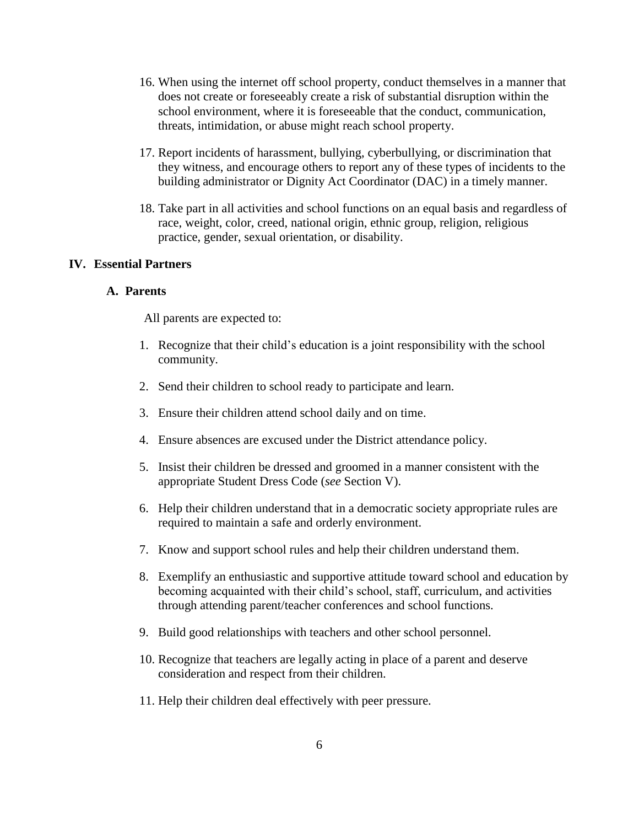- 16. When using the internet off school property, conduct themselves in a manner that does not create or foreseeably create a risk of substantial disruption within the school environment, where it is foreseeable that the conduct, communication, threats, intimidation, or abuse might reach school property.
- 17. Report incidents of harassment, bullying, cyberbullying, or discrimination that they witness, and encourage others to report any of these types of incidents to the building administrator or Dignity Act Coordinator (DAC) in a timely manner.
- 18. Take part in all activities and school functions on an equal basis and regardless of race, weight, color, creed, national origin, ethnic group, religion, religious practice, gender, sexual orientation, or disability.

#### **IV. Essential Partners**

#### **A. Parents**

All parents are expected to:

- 1. Recognize that their child's education is a joint responsibility with the school community.
- 2. Send their children to school ready to participate and learn.
- 3. Ensure their children attend school daily and on time.
- 4. Ensure absences are excused under the District attendance policy.
- 5. Insist their children be dressed and groomed in a manner consistent with the appropriate Student Dress Code (*see* Section V).
- 6. Help their children understand that in a democratic society appropriate rules are required to maintain a safe and orderly environment.
- 7. Know and support school rules and help their children understand them.
- 8. Exemplify an enthusiastic and supportive attitude toward school and education by becoming acquainted with their child's school, staff, curriculum, and activities through attending parent/teacher conferences and school functions.
- 9. Build good relationships with teachers and other school personnel.
- 10. Recognize that teachers are legally acting in place of a parent and deserve consideration and respect from their children.
- 11. Help their children deal effectively with peer pressure.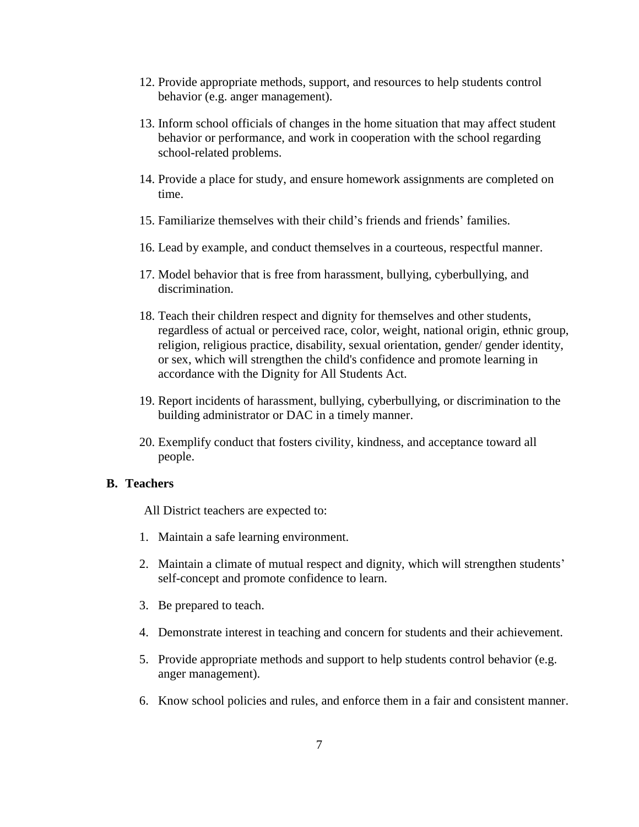- 12. Provide appropriate methods, support, and resources to help students control behavior (e.g. anger management).
- 13. Inform school officials of changes in the home situation that may affect student behavior or performance, and work in cooperation with the school regarding school-related problems.
- 14. Provide a place for study, and ensure homework assignments are completed on time.
- 15. Familiarize themselves with their child's friends and friends' families.
- 16. Lead by example, and conduct themselves in a courteous, respectful manner.
- 17. Model behavior that is free from harassment, bullying, cyberbullying, and discrimination.
- 18. Teach their children respect and dignity for themselves and other students, regardless of actual or perceived race, color, weight, national origin, ethnic group, religion, religious practice, disability, sexual orientation, gender/ gender identity, or sex, which will strengthen the child's confidence and promote learning in accordance with the Dignity for All Students Act.
- 19. Report incidents of harassment, bullying, cyberbullying, or discrimination to the building administrator or DAC in a timely manner.
- 20. Exemplify conduct that fosters civility, kindness, and acceptance toward all people.

#### **B. Teachers**

All District teachers are expected to:

- 1. Maintain a safe learning environment.
- 2. Maintain a climate of mutual respect and dignity, which will strengthen students' self-concept and promote confidence to learn.
- 3. Be prepared to teach.
- 4. Demonstrate interest in teaching and concern for students and their achievement.
- 5. Provide appropriate methods and support to help students control behavior (e.g. anger management).
- 6. Know school policies and rules, and enforce them in a fair and consistent manner.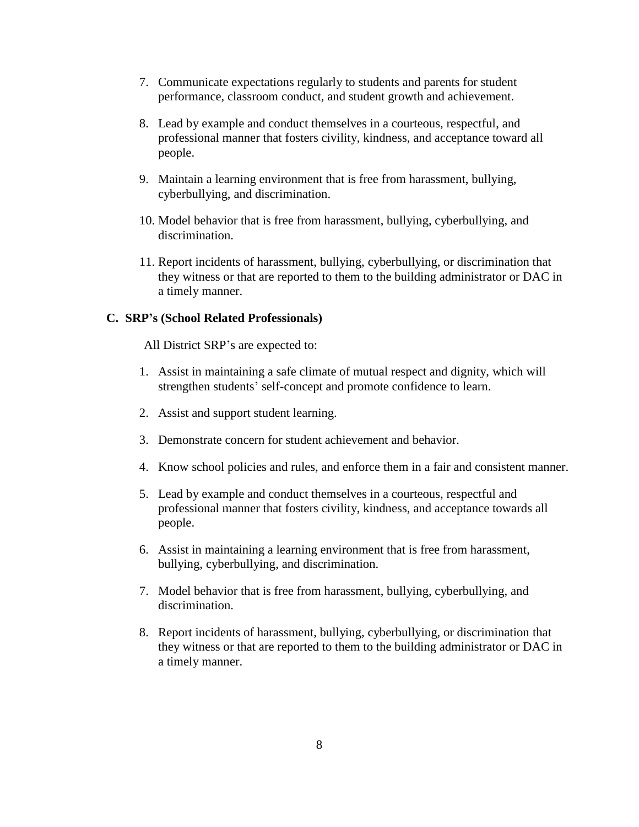- 7. Communicate expectations regularly to students and parents for student performance, classroom conduct, and student growth and achievement.
- 8. Lead by example and conduct themselves in a courteous, respectful, and professional manner that fosters civility, kindness, and acceptance toward all people.
- 9. Maintain a learning environment that is free from harassment, bullying, cyberbullying, and discrimination.
- 10. Model behavior that is free from harassment, bullying, cyberbullying, and discrimination.
- 11. Report incidents of harassment, bullying, cyberbullying, or discrimination that they witness or that are reported to them to the building administrator or DAC in a timely manner.

#### **C. SRP's (School Related Professionals)**

All District SRP's are expected to:

- 1. Assist in maintaining a safe climate of mutual respect and dignity, which will strengthen students' self-concept and promote confidence to learn.
- 2. Assist and support student learning.
- 3. Demonstrate concern for student achievement and behavior.
- 4. Know school policies and rules, and enforce them in a fair and consistent manner.
- 5. Lead by example and conduct themselves in a courteous, respectful and professional manner that fosters civility, kindness, and acceptance towards all people.
- 6. Assist in maintaining a learning environment that is free from harassment, bullying, cyberbullying, and discrimination.
- 7. Model behavior that is free from harassment, bullying, cyberbullying, and discrimination.
- 8. Report incidents of harassment, bullying, cyberbullying, or discrimination that they witness or that are reported to them to the building administrator or DAC in a timely manner.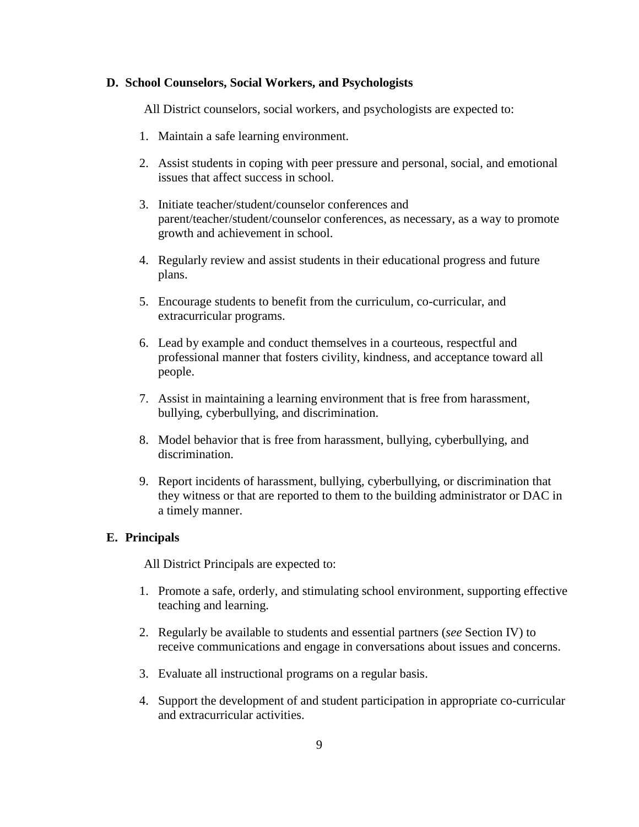#### **D. School Counselors, Social Workers, and Psychologists**

All District counselors, social workers, and psychologists are expected to:

- 1. Maintain a safe learning environment.
- 2. Assist students in coping with peer pressure and personal, social, and emotional issues that affect success in school.
- 3. Initiate teacher/student/counselor conferences and parent/teacher/student/counselor conferences, as necessary, as a way to promote growth and achievement in school.
- 4. Regularly review and assist students in their educational progress and future plans.
- 5. Encourage students to benefit from the curriculum, co-curricular, and extracurricular programs.
- 6. Lead by example and conduct themselves in a courteous, respectful and professional manner that fosters civility, kindness, and acceptance toward all people.
- 7. Assist in maintaining a learning environment that is free from harassment, bullying, cyberbullying, and discrimination.
- 8. Model behavior that is free from harassment, bullying, cyberbullying, and discrimination.
- 9. Report incidents of harassment, bullying, cyberbullying, or discrimination that they witness or that are reported to them to the building administrator or DAC in a timely manner.

#### **E. Principals**

All District Principals are expected to:

- 1. Promote a safe, orderly, and stimulating school environment, supporting effective teaching and learning.
- 2. Regularly be available to students and essential partners (*see* Section IV) to receive communications and engage in conversations about issues and concerns.
- 3. Evaluate all instructional programs on a regular basis.
- 4. Support the development of and student participation in appropriate co-curricular and extracurricular activities.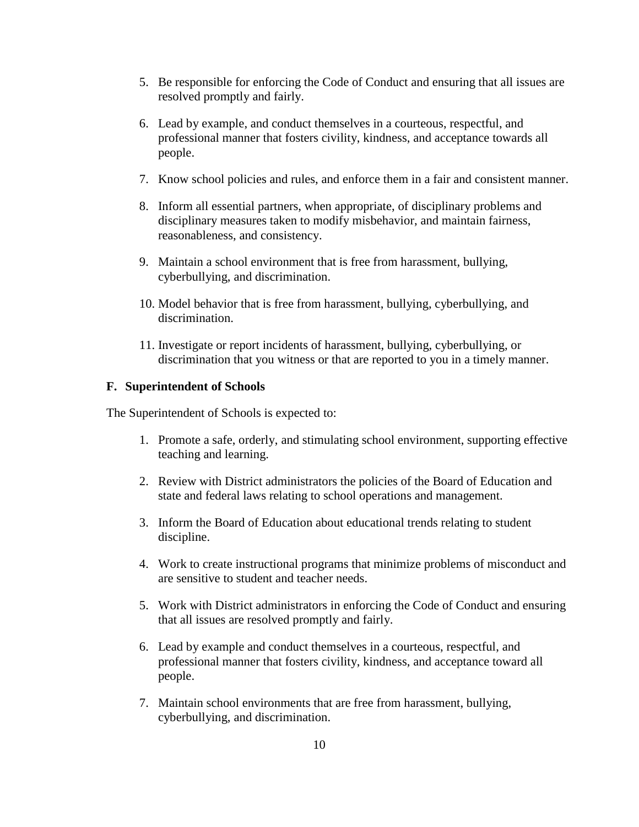- 5. Be responsible for enforcing the Code of Conduct and ensuring that all issues are resolved promptly and fairly.
- 6. Lead by example, and conduct themselves in a courteous, respectful, and professional manner that fosters civility, kindness, and acceptance towards all people.
- 7. Know school policies and rules, and enforce them in a fair and consistent manner.
- 8. Inform all essential partners, when appropriate, of disciplinary problems and disciplinary measures taken to modify misbehavior, and maintain fairness, reasonableness, and consistency.
- 9. Maintain a school environment that is free from harassment, bullying, cyberbullying, and discrimination.
- 10. Model behavior that is free from harassment, bullying, cyberbullying, and discrimination.
- 11. Investigate or report incidents of harassment, bullying, cyberbullying, or discrimination that you witness or that are reported to you in a timely manner.

### **F. Superintendent of Schools**

The Superintendent of Schools is expected to:

- 1. Promote a safe, orderly, and stimulating school environment, supporting effective teaching and learning.
- 2. Review with District administrators the policies of the Board of Education and state and federal laws relating to school operations and management.
- 3. Inform the Board of Education about educational trends relating to student discipline.
- 4. Work to create instructional programs that minimize problems of misconduct and are sensitive to student and teacher needs.
- 5. Work with District administrators in enforcing the Code of Conduct and ensuring that all issues are resolved promptly and fairly.
- 6. Lead by example and conduct themselves in a courteous, respectful, and professional manner that fosters civility, kindness, and acceptance toward all people.
- 7. Maintain school environments that are free from harassment, bullying, cyberbullying, and discrimination.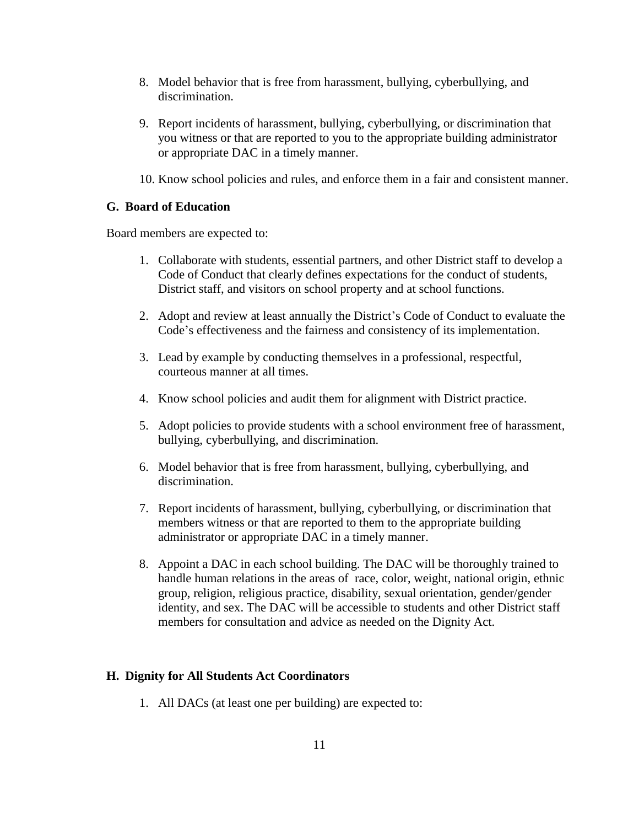- 8. Model behavior that is free from harassment, bullying, cyberbullying, and discrimination.
- 9. Report incidents of harassment, bullying, cyberbullying, or discrimination that you witness or that are reported to you to the appropriate building administrator or appropriate DAC in a timely manner.
- 10. Know school policies and rules, and enforce them in a fair and consistent manner.

# **G. Board of Education**

Board members are expected to:

- 1. Collaborate with students, essential partners, and other District staff to develop a Code of Conduct that clearly defines expectations for the conduct of students, District staff, and visitors on school property and at school functions.
- 2. Adopt and review at least annually the District's Code of Conduct to evaluate the Code's effectiveness and the fairness and consistency of its implementation.
- 3. Lead by example by conducting themselves in a professional, respectful, courteous manner at all times.
- 4. Know school policies and audit them for alignment with District practice.
- 5. Adopt policies to provide students with a school environment free of harassment, bullying, cyberbullying, and discrimination.
- 6. Model behavior that is free from harassment, bullying, cyberbullying, and discrimination.
- 7. Report incidents of harassment, bullying, cyberbullying, or discrimination that members witness or that are reported to them to the appropriate building administrator or appropriate DAC in a timely manner.
- 8. Appoint a DAC in each school building. The DAC will be thoroughly trained to handle human relations in the areas of race, color, weight, national origin, ethnic group, religion, religious practice, disability, sexual orientation, gender/gender identity, and sex. The DAC will be accessible to students and other District staff members for consultation and advice as needed on the Dignity Act.

## **H. Dignity for All Students Act Coordinators**

1. All DACs (at least one per building) are expected to: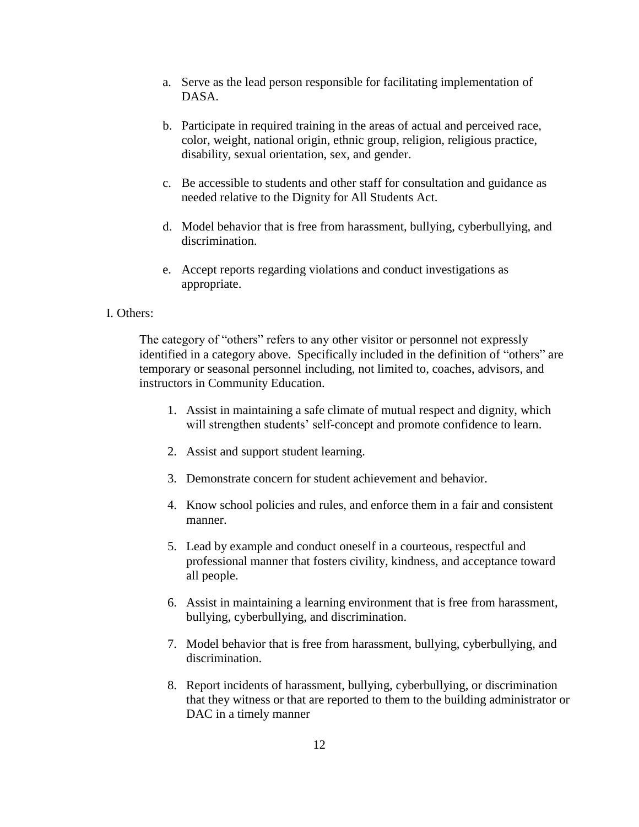- a. Serve as the lead person responsible for facilitating implementation of DASA.
- b. Participate in required training in the areas of actual and perceived race, color, weight, national origin, ethnic group, religion, religious practice, disability, sexual orientation, sex, and gender.
- c. Be accessible to students and other staff for consultation and guidance as needed relative to the Dignity for All Students Act.
- d. Model behavior that is free from harassment, bullying, cyberbullying, and discrimination.
- e. Accept reports regarding violations and conduct investigations as appropriate.

#### I. Others:

The category of "others" refers to any other visitor or personnel not expressly identified in a category above. Specifically included in the definition of "others" are temporary or seasonal personnel including, not limited to, coaches, advisors, and instructors in Community Education.

- 1. Assist in maintaining a safe climate of mutual respect and dignity, which will strengthen students' self-concept and promote confidence to learn.
- 2. Assist and support student learning.
- 3. Demonstrate concern for student achievement and behavior.
- 4. Know school policies and rules, and enforce them in a fair and consistent manner.
- 5. Lead by example and conduct oneself in a courteous, respectful and professional manner that fosters civility, kindness, and acceptance toward all people.
- 6. Assist in maintaining a learning environment that is free from harassment, bullying, cyberbullying, and discrimination.
- 7. Model behavior that is free from harassment, bullying, cyberbullying, and discrimination.
- 8. Report incidents of harassment, bullying, cyberbullying, or discrimination that they witness or that are reported to them to the building administrator or DAC in a timely manner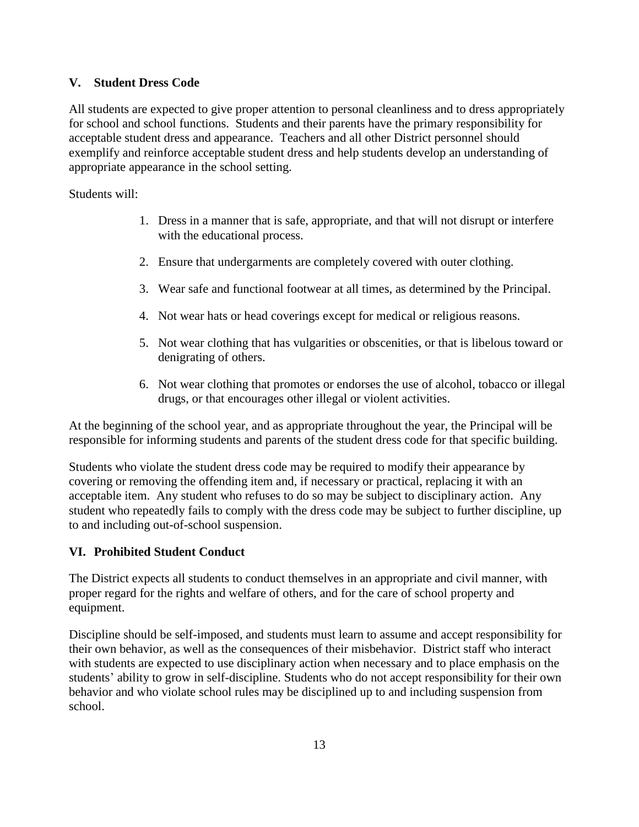# **V. Student Dress Code**

All students are expected to give proper attention to personal cleanliness and to dress appropriately for school and school functions. Students and their parents have the primary responsibility for acceptable student dress and appearance. Teachers and all other District personnel should exemplify and reinforce acceptable student dress and help students develop an understanding of appropriate appearance in the school setting.

Students will:

- 1. Dress in a manner that is safe, appropriate, and that will not disrupt or interfere with the educational process.
- 2. Ensure that undergarments are completely covered with outer clothing.
- 3. Wear safe and functional footwear at all times, as determined by the Principal.
- 4. Not wear hats or head coverings except for medical or religious reasons.
- 5. Not wear clothing that has vulgarities or obscenities, or that is libelous toward or denigrating of others.
- 6. Not wear clothing that promotes or endorses the use of alcohol, tobacco or illegal drugs, or that encourages other illegal or violent activities.

At the beginning of the school year, and as appropriate throughout the year, the Principal will be responsible for informing students and parents of the student dress code for that specific building.

Students who violate the student dress code may be required to modify their appearance by covering or removing the offending item and, if necessary or practical, replacing it with an acceptable item. Any student who refuses to do so may be subject to disciplinary action. Any student who repeatedly fails to comply with the dress code may be subject to further discipline, up to and including out-of-school suspension.

# **VI. Prohibited Student Conduct**

The District expects all students to conduct themselves in an appropriate and civil manner, with proper regard for the rights and welfare of others, and for the care of school property and equipment.

Discipline should be self-imposed, and students must learn to assume and accept responsibility for their own behavior, as well as the consequences of their misbehavior. District staff who interact with students are expected to use disciplinary action when necessary and to place emphasis on the students' ability to grow in self-discipline. Students who do not accept responsibility for their own behavior and who violate school rules may be disciplined up to and including suspension from school.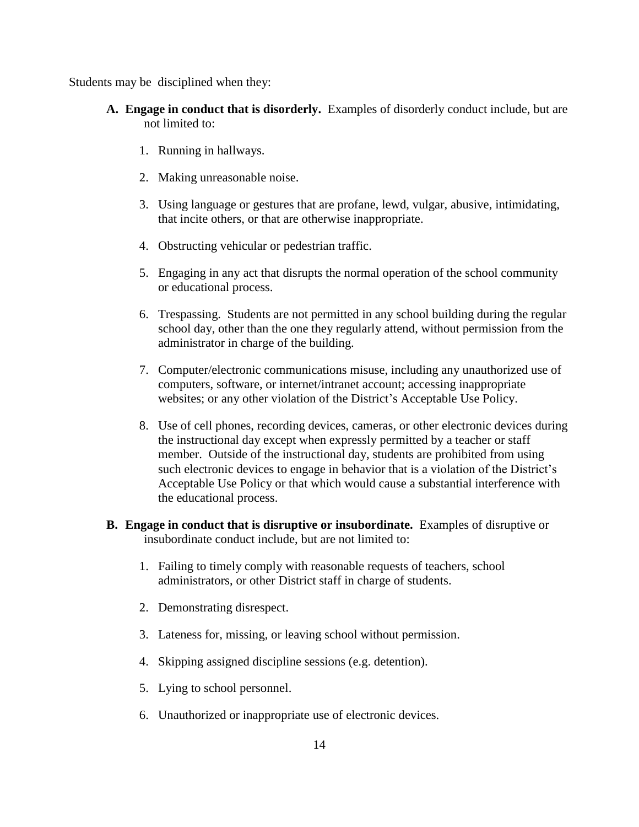Students may be disciplined when they:

- **A. Engage in conduct that is disorderly.** Examples of disorderly conduct include, but are not limited to:
	- 1. Running in hallways.
	- 2. Making unreasonable noise.
	- 3. Using language or gestures that are profane, lewd, vulgar, abusive, intimidating, that incite others, or that are otherwise inappropriate.
	- 4. Obstructing vehicular or pedestrian traffic.
	- 5. Engaging in any act that disrupts the normal operation of the school community or educational process.
	- 6. Trespassing. Students are not permitted in any school building during the regular school day, other than the one they regularly attend, without permission from the administrator in charge of the building.
	- 7. Computer/electronic communications misuse, including any unauthorized use of computers, software, or internet/intranet account; accessing inappropriate websites; or any other violation of the District's Acceptable Use Policy.
	- 8. Use of cell phones, recording devices, cameras, or other electronic devices during the instructional day except when expressly permitted by a teacher or staff member. Outside of the instructional day, students are prohibited from using such electronic devices to engage in behavior that is a violation of the District's Acceptable Use Policy or that which would cause a substantial interference with the educational process.
- **B. Engage in conduct that is disruptive or insubordinate.** Examples of disruptive or insubordinate conduct include, but are not limited to:
	- 1. Failing to timely comply with reasonable requests of teachers, school administrators, or other District staff in charge of students.
	- 2. Demonstrating disrespect.
	- 3. Lateness for, missing, or leaving school without permission.
	- 4. Skipping assigned discipline sessions (e.g. detention).
	- 5. Lying to school personnel.
	- 6. Unauthorized or inappropriate use of electronic devices.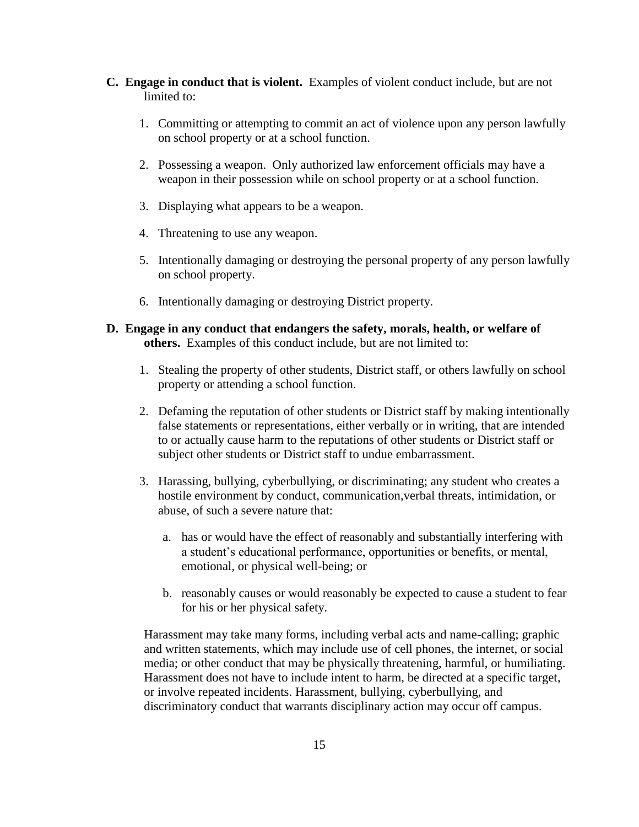- **C. Engage in conduct that is violent.** Examples of violent conduct include, but are not limited to:
	- 1. Committing or attempting to commit an act of violence upon any person lawfully on school property or at a school function.
	- 2. Possessing a weapon. Only authorized law enforcement officials may have a weapon in their possession while on school property or at a school function.
	- 3. Displaying what appears to be a weapon.
	- 4. Threatening to use any weapon.
	- 5. Intentionally damaging or destroying the personal property of any person lawfully on school property.
	- 6. Intentionally damaging or destroying District property.
- **D. Engage in any conduct that endangers the safety, morals, health, or welfare of others.** Examples of this conduct include, but are not limited to:
	- 1. Stealing the property of other students, District staff, or others lawfully on school property or attending a school function.
	- 2. Defaming the reputation of other students or District staff by making intentionally false statements or representations, either verbally or in writing, that are intended to or actually cause harm to the reputations of other students or District staff or subject other students or District staff to undue embarrassment.
	- 3. Harassing, bullying, cyberbullying, or discriminating; any student who creates a hostile environment by conduct, communication, verbal threats, intimidation, or abuse, of such a severe nature that:
		- a. has or would have the effect of reasonably and substantially interfering with a student's educational performance, opportunities or benefits, or mental, emotional, or physical well-being; or
		- b. reasonably causes or would reasonably be expected to cause a student to fear for his or her physical safety.

Harassment may take many forms, including verbal acts and name-calling; graphic and written statements, which may include use of cell phones, the internet, or social media; or other conduct that may be physically threatening, harmful, or humiliating. Harassment does not have to include intent to harm, be directed at a specific target, or involve repeated incidents. Harassment, bullying, cyberbullying, and discriminatory conduct that warrants disciplinary action may occur off campus.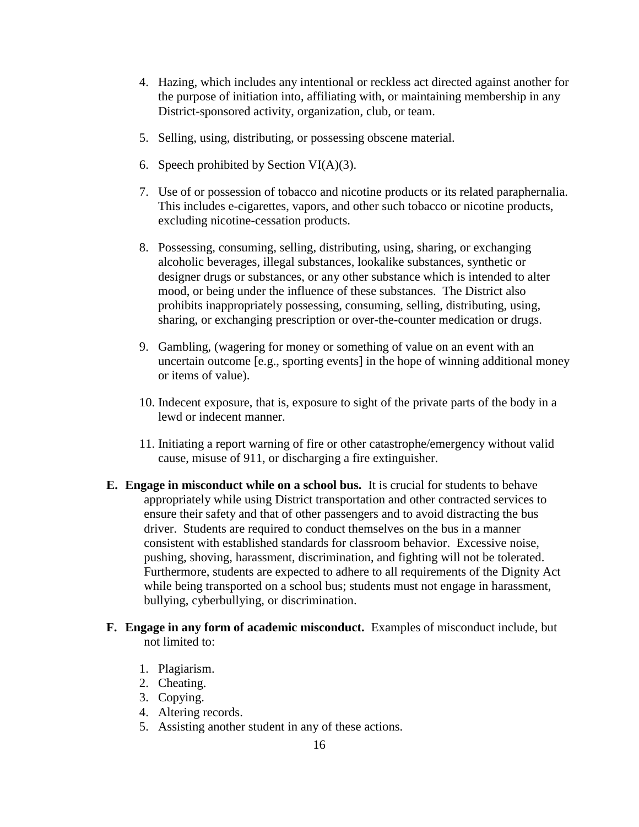- 4. Hazing, which includes any intentional or reckless act directed against another for the purpose of initiation into, affiliating with, or maintaining membership in any District-sponsored activity, organization, club, or team.
- 5. Selling, using, distributing, or possessing obscene material.
- 6. Speech prohibited by Section VI(A)(3).
- 7. Use of or possession of tobacco and nicotine products or its related paraphernalia. This includes e-cigarettes, vapors, and other such tobacco or nicotine products, excluding nicotine-cessation products.
- 8. Possessing, consuming, selling, distributing, using, sharing, or exchanging alcoholic beverages, illegal substances, lookalike substances, synthetic or designer drugs or substances, or any other substance which is intended to alter mood, or being under the influence of these substances. The District also prohibits inappropriately possessing, consuming, selling, distributing, using, sharing, or exchanging prescription or over-the-counter medication or drugs.
- 9. Gambling, (wagering for money or something of value on an event with an uncertain outcome [e.g., sporting events] in the hope of winning additional money or items of value).
- 10. Indecent exposure, that is, exposure to sight of the private parts of the body in a lewd or indecent manner.
- 11. Initiating a report warning of fire or other catastrophe/emergency without valid cause, misuse of 911, or discharging a fire extinguisher.
- **E. Engage in misconduct while on a school bus.** It is crucial for students to behave appropriately while using District transportation and other contracted services to ensure their safety and that of other passengers and to avoid distracting the bus driver. Students are required to conduct themselves on the bus in a manner consistent with established standards for classroom behavior. Excessive noise, pushing, shoving, harassment, discrimination, and fighting will not be tolerated. Furthermore, students are expected to adhere to all requirements of the Dignity Act while being transported on a school bus; students must not engage in harassment, bullying, cyberbullying, or discrimination.
- **F. Engage in any form of academic misconduct.** Examples of misconduct include, but not limited to:
	- 1. Plagiarism.
	- 2. Cheating.
	- 3. Copying.
	- 4. Altering records.
	- 5. Assisting another student in any of these actions.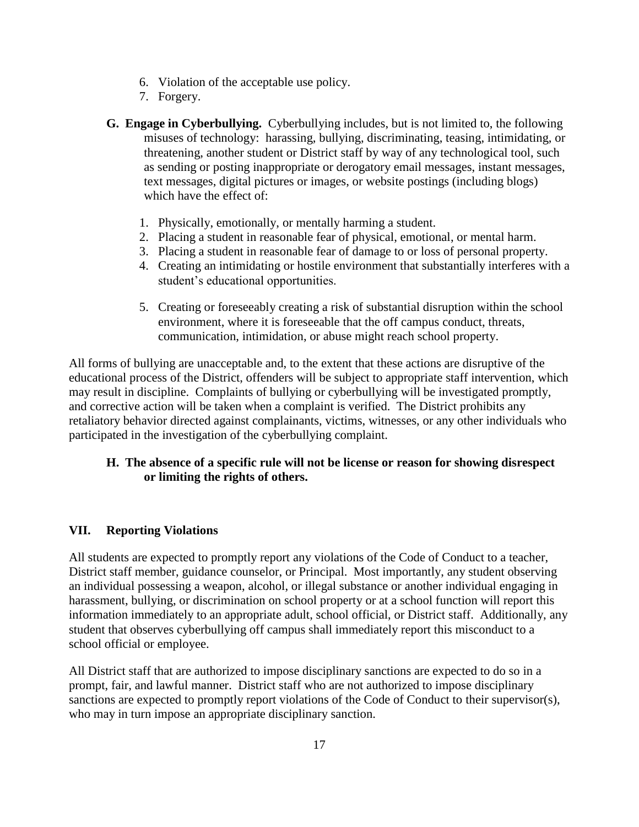- 6. Violation of the acceptable use policy.
- 7. Forgery.
- **G. Engage in Cyberbullying.** Cyberbullying includes, but is not limited to, the following misuses of technology: harassing, bullying, discriminating, teasing, intimidating, or threatening, another student or District staff by way of any technological tool, such as sending or posting inappropriate or derogatory email messages, instant messages, text messages, digital pictures or images, or website postings (including blogs) which have the effect of:
	- 1. Physically, emotionally, or mentally harming a student.
	- 2. Placing a student in reasonable fear of physical, emotional, or mental harm.
	- 3. Placing a student in reasonable fear of damage to or loss of personal property.
	- 4. Creating an intimidating or hostile environment that substantially interferes with a student's educational opportunities.
	- 5. Creating or foreseeably creating a risk of substantial disruption within the school environment, where it is foreseeable that the off campus conduct, threats, communication, intimidation, or abuse might reach school property.

All forms of bullying are unacceptable and, to the extent that these actions are disruptive of the educational process of the District, offenders will be subject to appropriate staff intervention, which may result in discipline. Complaints of bullying or cyberbullying will be investigated promptly, and corrective action will be taken when a complaint is verified. The District prohibits any retaliatory behavior directed against complainants, victims, witnesses, or any other individuals who participated in the investigation of the cyberbullying complaint.

# **H. The absence of a specific rule will not be license or reason for showing disrespect or limiting the rights of others.**

## **VII. Reporting Violations**

All students are expected to promptly report any violations of the Code of Conduct to a teacher, District staff member, guidance counselor, or Principal. Most importantly, any student observing an individual possessing a weapon, alcohol, or illegal substance or another individual engaging in harassment, bullying, or discrimination on school property or at a school function will report this information immediately to an appropriate adult, school official, or District staff. Additionally, any student that observes cyberbullying off campus shall immediately report this misconduct to a school official or employee.

All District staff that are authorized to impose disciplinary sanctions are expected to do so in a prompt, fair, and lawful manner. District staff who are not authorized to impose disciplinary sanctions are expected to promptly report violations of the Code of Conduct to their supervisor(s), who may in turn impose an appropriate disciplinary sanction.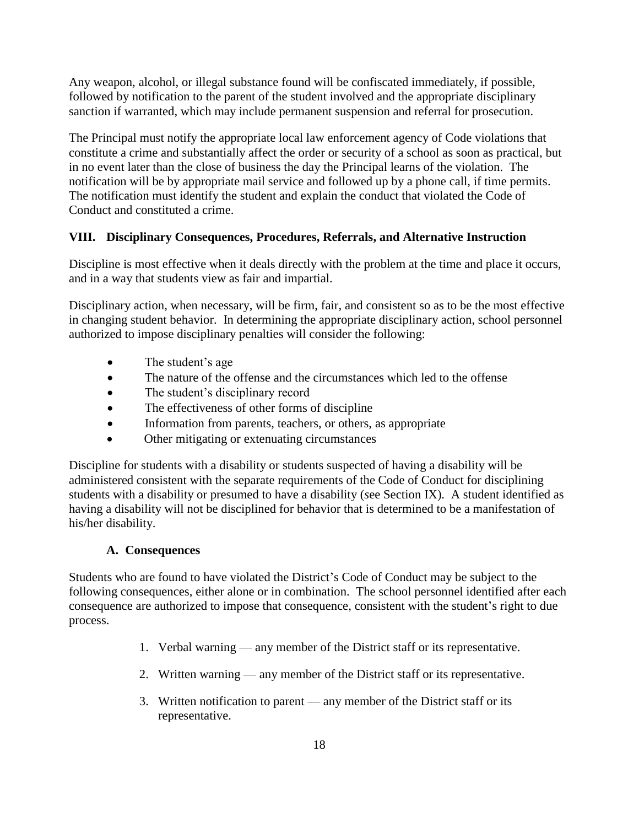Any weapon, alcohol, or illegal substance found will be confiscated immediately, if possible, followed by notification to the parent of the student involved and the appropriate disciplinary sanction if warranted, which may include permanent suspension and referral for prosecution.

The Principal must notify the appropriate local law enforcement agency of Code violations that constitute a crime and substantially affect the order or security of a school as soon as practical, but in no event later than the close of business the day the Principal learns of the violation. The notification will be by appropriate mail service and followed up by a phone call, if time permits. The notification must identify the student and explain the conduct that violated the Code of Conduct and constituted a crime.

# **VIII. Disciplinary Consequences, Procedures, Referrals, and Alternative Instruction**

Discipline is most effective when it deals directly with the problem at the time and place it occurs, and in a way that students view as fair and impartial.

Disciplinary action, when necessary, will be firm, fair, and consistent so as to be the most effective in changing student behavior. In determining the appropriate disciplinary action, school personnel authorized to impose disciplinary penalties will consider the following:

- The student's age
- The nature of the offense and the circumstances which led to the offense
- The student's disciplinary record
- The effectiveness of other forms of discipline
- Information from parents, teachers, or others, as appropriate
- Other mitigating or extenuating circumstances

Discipline for students with a disability or students suspected of having a disability will be administered consistent with the separate requirements of the Code of Conduct for disciplining students with a disability or presumed to have a disability (*s*ee Section IX). A student identified as having a disability will not be disciplined for behavior that is determined to be a manifestation of his/her disability.

# **A. Consequences**

Students who are found to have violated the District's Code of Conduct may be subject to the following consequences, either alone or in combination. The school personnel identified after each consequence are authorized to impose that consequence, consistent with the student's right to due process.

- 1. Verbal warning any member of the District staff or its representative.
- 2. Written warning any member of the District staff or its representative.
- 3. Written notification to parent any member of the District staff or its representative.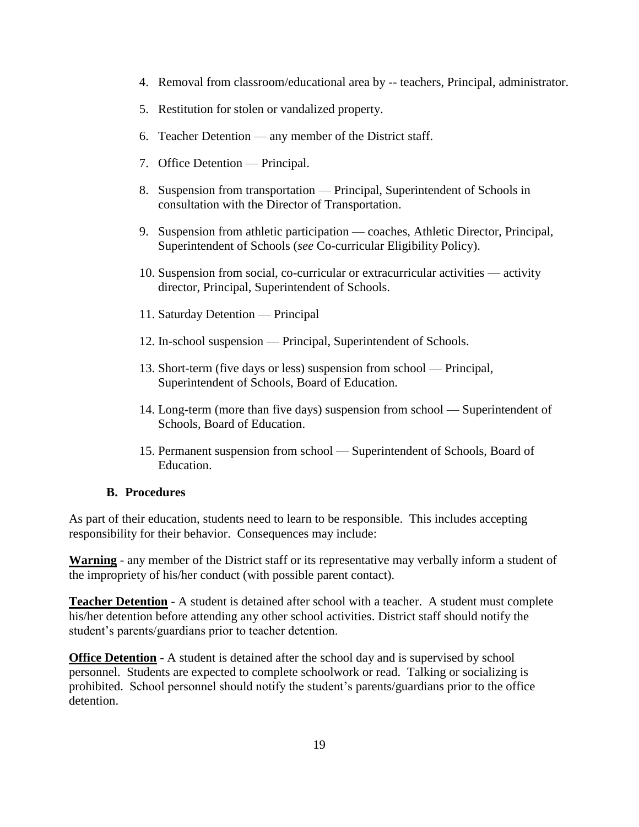- 4. Removal from classroom/educational area by -- teachers, Principal, administrator.
- 5. Restitution for stolen or vandalized property.
- 6. Teacher Detention any member of the District staff.
- 7. Office Detention Principal.
- 8. Suspension from transportation Principal, Superintendent of Schools in consultation with the Director of Transportation.
- 9. Suspension from athletic participation coaches, Athletic Director, Principal, Superintendent of Schools (*see* Co-curricular Eligibility Policy).
- 10. Suspension from social, co-curricular or extracurricular activities activity director, Principal, Superintendent of Schools.
- 11. Saturday Detention Principal
- 12. In-school suspension Principal, Superintendent of Schools.
- 13. Short-term (five days or less) suspension from school Principal, Superintendent of Schools, Board of Education.
- 14. Long-term (more than five days) suspension from school Superintendent of Schools, Board of Education.
- 15. Permanent suspension from school Superintendent of Schools, Board of Education.

#### **B. Procedures**

As part of their education, students need to learn to be responsible. This includes accepting responsibility for their behavior. Consequences may include:

**Warning** - any member of the District staff or its representative may verbally inform a student of the impropriety of his/her conduct (with possible parent contact).

**Teacher Detention** - A student is detained after school with a teacher. A student must complete his/her detention before attending any other school activities. District staff should notify the student's parents/guardians prior to teacher detention.

**Office Detention** - A student is detained after the school day and is supervised by school personnel. Students are expected to complete schoolwork or read. Talking or socializing is prohibited. School personnel should notify the student's parents/guardians prior to the office detention.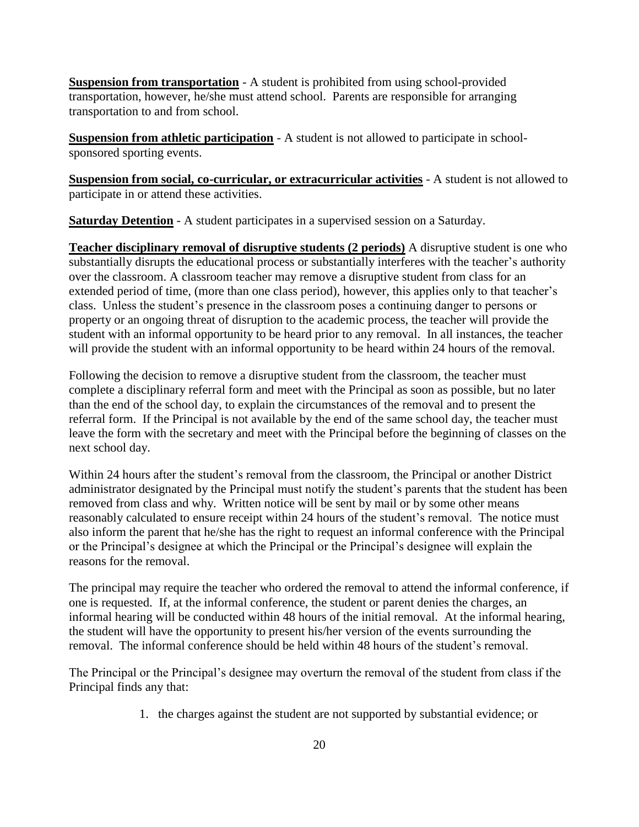**Suspension from transportation** - A student is prohibited from using school-provided transportation, however, he/she must attend school. Parents are responsible for arranging transportation to and from school.

**Suspension from athletic participation** - A student is not allowed to participate in schoolsponsored sporting events.

**Suspension from social, co-curricular, or extracurricular activities** - A student is not allowed to participate in or attend these activities.

**Saturday Detention** - A student participates in a supervised session on a Saturday.

**Teacher disciplinary removal of disruptive students (2 periods)** A disruptive student is one who substantially disrupts the educational process or substantially interferes with the teacher's authority over the classroom. A classroom teacher may remove a disruptive student from class for an extended period of time, (more than one class period), however, this applies only to that teacher's class. Unless the student's presence in the classroom poses a continuing danger to persons or property or an ongoing threat of disruption to the academic process, the teacher will provide the student with an informal opportunity to be heard prior to any removal. In all instances, the teacher will provide the student with an informal opportunity to be heard within 24 hours of the removal.

Following the decision to remove a disruptive student from the classroom, the teacher must complete a disciplinary referral form and meet with the Principal as soon as possible, but no later than the end of the school day, to explain the circumstances of the removal and to present the referral form. If the Principal is not available by the end of the same school day, the teacher must leave the form with the secretary and meet with the Principal before the beginning of classes on the next school day.

Within 24 hours after the student's removal from the classroom, the Principal or another District administrator designated by the Principal must notify the student's parents that the student has been removed from class and why. Written notice will be sent by mail or by some other means reasonably calculated to ensure receipt within 24 hours of the student's removal. The notice must also inform the parent that he/she has the right to request an informal conference with the Principal or the Principal's designee at which the Principal or the Principal's designee will explain the reasons for the removal.

The principal may require the teacher who ordered the removal to attend the informal conference, if one is requested. If, at the informal conference, the student or parent denies the charges, an informal hearing will be conducted within 48 hours of the initial removal. At the informal hearing, the student will have the opportunity to present his/her version of the events surrounding the removal. The informal conference should be held within 48 hours of the student's removal.

The Principal or the Principal's designee may overturn the removal of the student from class if the Principal finds any that:

1. the charges against the student are not supported by substantial evidence; or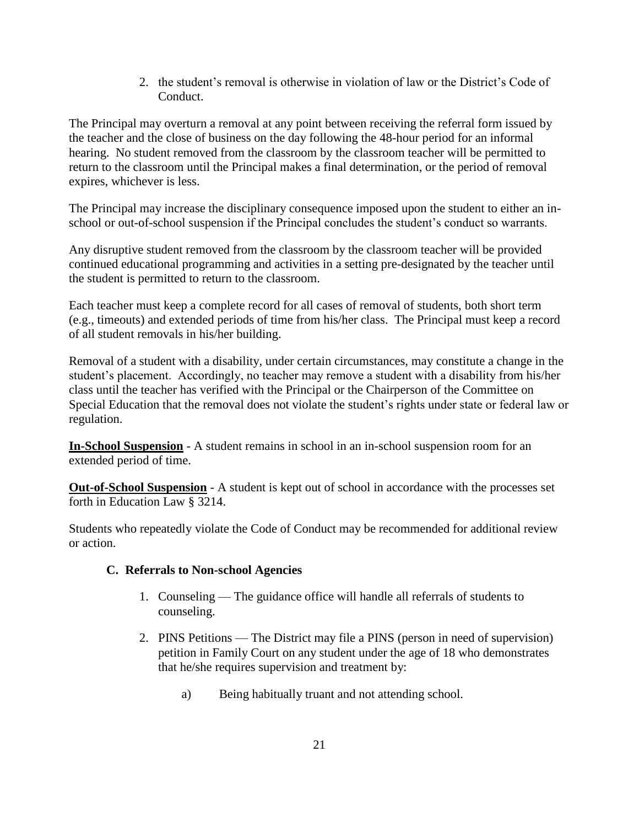2. the student's removal is otherwise in violation of law or the District's Code of Conduct.

The Principal may overturn a removal at any point between receiving the referral form issued by the teacher and the close of business on the day following the 48-hour period for an informal hearing. No student removed from the classroom by the classroom teacher will be permitted to return to the classroom until the Principal makes a final determination, or the period of removal expires, whichever is less.

The Principal may increase the disciplinary consequence imposed upon the student to either an inschool or out-of-school suspension if the Principal concludes the student's conduct so warrants.

Any disruptive student removed from the classroom by the classroom teacher will be provided continued educational programming and activities in a setting pre-designated by the teacher until the student is permitted to return to the classroom.

Each teacher must keep a complete record for all cases of removal of students, both short term (e.g., timeouts) and extended periods of time from his/her class. The Principal must keep a record of all student removals in his/her building.

Removal of a student with a disability, under certain circumstances, may constitute a change in the student's placement. Accordingly, no teacher may remove a student with a disability from his/her class until the teacher has verified with the Principal or the Chairperson of the Committee on Special Education that the removal does not violate the student's rights under state or federal law or regulation.

**In-School Suspension** - A student remains in school in an in-school suspension room for an extended period of time.

**Out-of-School Suspension** - A student is kept out of school in accordance with the processes set forth in Education Law § 3214.

Students who repeatedly violate the Code of Conduct may be recommended for additional review or action.

# **C. Referrals to Non-school Agencies**

- 1. Counseling The guidance office will handle all referrals of students to counseling.
- 2. PINS Petitions The District may file a PINS (person in need of supervision) petition in Family Court on any student under the age of 18 who demonstrates that he/she requires supervision and treatment by:
	- a) Being habitually truant and not attending school.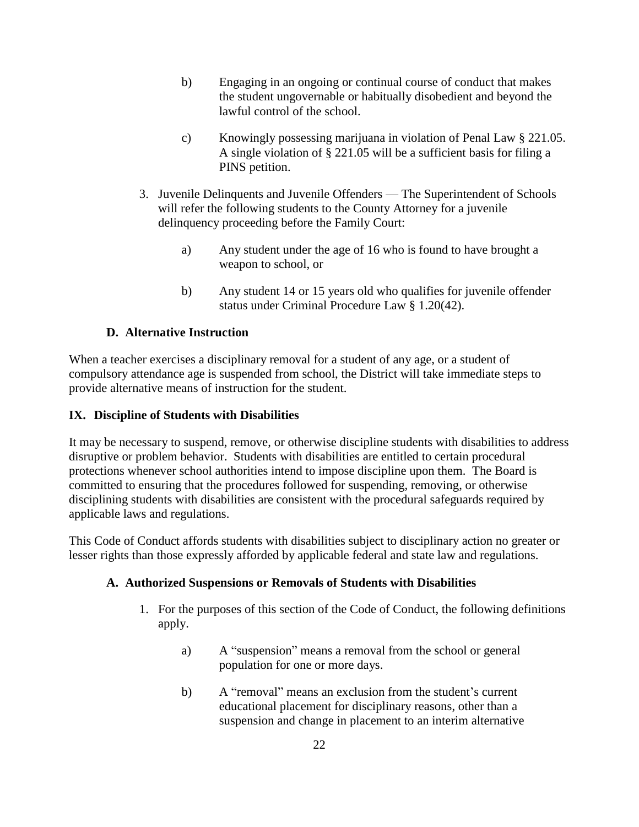- b) Engaging in an ongoing or continual course of conduct that makes the student ungovernable or habitually disobedient and beyond the lawful control of the school.
- c) Knowingly possessing marijuana in violation of Penal Law § 221.05. A single violation of § 221.05 will be a sufficient basis for filing a PINS petition.
- 3. Juvenile Delinquents and Juvenile Offenders The Superintendent of Schools will refer the following students to the County Attorney for a juvenile delinquency proceeding before the Family Court:
	- a) Any student under the age of 16 who is found to have brought a weapon to school, or
	- b) Any student 14 or 15 years old who qualifies for juvenile offender status under Criminal Procedure Law § 1.20(42).

# **D. Alternative Instruction**

When a teacher exercises a disciplinary removal for a student of any age, or a student of compulsory attendance age is suspended from school, the District will take immediate steps to provide alternative means of instruction for the student.

# **IX. Discipline of Students with Disabilities**

It may be necessary to suspend, remove, or otherwise discipline students with disabilities to address disruptive or problem behavior. Students with disabilities are entitled to certain procedural protections whenever school authorities intend to impose discipline upon them. The Board is committed to ensuring that the procedures followed for suspending, removing, or otherwise disciplining students with disabilities are consistent with the procedural safeguards required by applicable laws and regulations.

This Code of Conduct affords students with disabilities subject to disciplinary action no greater or lesser rights than those expressly afforded by applicable federal and state law and regulations.

# **A. Authorized Suspensions or Removals of Students with Disabilities**

- 1. For the purposes of this section of the Code of Conduct, the following definitions apply.
	- a) A "suspension" means a removal from the school or general population for one or more days.
	- b) A "removal" means an exclusion from the student's current educational placement for disciplinary reasons, other than a suspension and change in placement to an interim alternative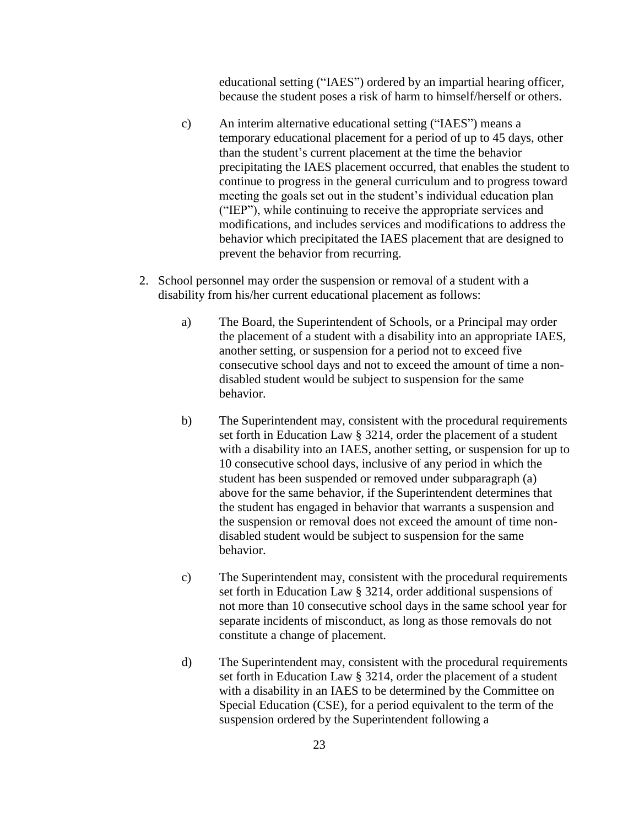educational setting ("IAES") ordered by an impartial hearing officer, because the student poses a risk of harm to himself/herself or others.

- c) An interim alternative educational setting ("IAES") means a temporary educational placement for a period of up to 45 days, other than the student's current placement at the time the behavior precipitating the IAES placement occurred, that enables the student to continue to progress in the general curriculum and to progress toward meeting the goals set out in the student's individual education plan ("IEP"), while continuing to receive the appropriate services and modifications, and includes services and modifications to address the behavior which precipitated the IAES placement that are designed to prevent the behavior from recurring.
- 2. School personnel may order the suspension or removal of a student with a disability from his/her current educational placement as follows:
	- a) The Board, the Superintendent of Schools, or a Principal may order the placement of a student with a disability into an appropriate IAES, another setting, or suspension for a period not to exceed five consecutive school days and not to exceed the amount of time a nondisabled student would be subject to suspension for the same behavior.
	- b) The Superintendent may, consistent with the procedural requirements set forth in Education Law § 3214, order the placement of a student with a disability into an IAES, another setting, or suspension for up to 10 consecutive school days, inclusive of any period in which the student has been suspended or removed under subparagraph (a) above for the same behavior, if the Superintendent determines that the student has engaged in behavior that warrants a suspension and the suspension or removal does not exceed the amount of time nondisabled student would be subject to suspension for the same behavior.
	- c) The Superintendent may, consistent with the procedural requirements set forth in Education Law § 3214, order additional suspensions of not more than 10 consecutive school days in the same school year for separate incidents of misconduct, as long as those removals do not constitute a change of placement.
	- d) The Superintendent may, consistent with the procedural requirements set forth in Education Law § 3214, order the placement of a student with a disability in an IAES to be determined by the Committee on Special Education (CSE), for a period equivalent to the term of the suspension ordered by the Superintendent following a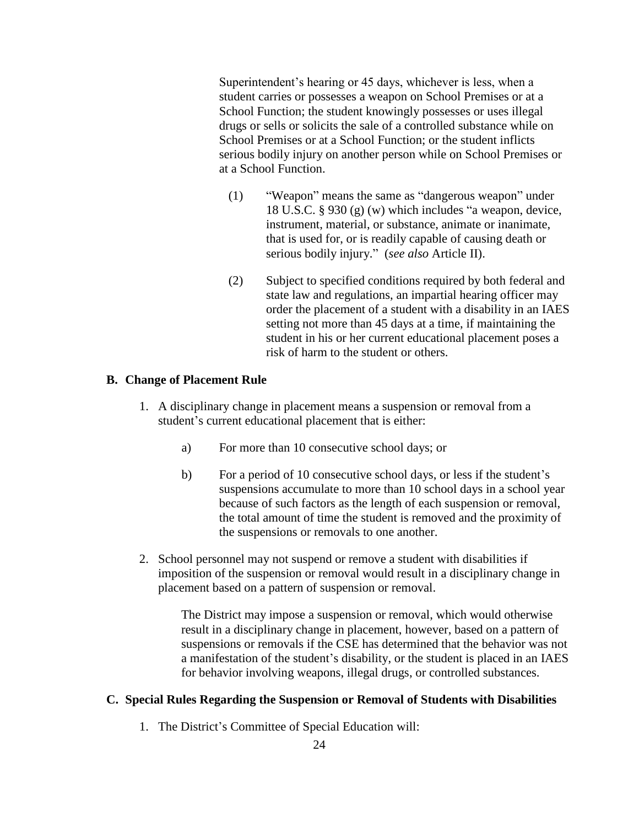Superintendent's hearing or 45 days, whichever is less, when a student carries or possesses a weapon on School Premises or at a School Function; the student knowingly possesses or uses illegal drugs or sells or solicits the sale of a controlled substance while on School Premises or at a School Function; or the student inflicts serious bodily injury on another person while on School Premises or at a School Function.

- (1) "Weapon" means the same as "dangerous weapon" under 18 U.S.C. § 930 (g) (w) which includes "a weapon, device, instrument, material, or substance, animate or inanimate, that is used for, or is readily capable of causing death or serious bodily injury." (*see also* Article II).
- (2) Subject to specified conditions required by both federal and state law and regulations, an impartial hearing officer may order the placement of a student with a disability in an IAES setting not more than 45 days at a time, if maintaining the student in his or her current educational placement poses a risk of harm to the student or others.

### **B. Change of Placement Rule**

- 1. A disciplinary change in placement means a suspension or removal from a student's current educational placement that is either:
	- a) For more than 10 consecutive school days; or
	- b) For a period of 10 consecutive school days, or less if the student's suspensions accumulate to more than 10 school days in a school year because of such factors as the length of each suspension or removal, the total amount of time the student is removed and the proximity of the suspensions or removals to one another.
- 2. School personnel may not suspend or remove a student with disabilities if imposition of the suspension or removal would result in a disciplinary change in placement based on a pattern of suspension or removal.

The District may impose a suspension or removal, which would otherwise result in a disciplinary change in placement, however, based on a pattern of suspensions or removals if the CSE has determined that the behavior was not a manifestation of the student's disability, or the student is placed in an IAES for behavior involving weapons, illegal drugs, or controlled substances.

#### **C. Special Rules Regarding the Suspension or Removal of Students with Disabilities**

1. The District's Committee of Special Education will: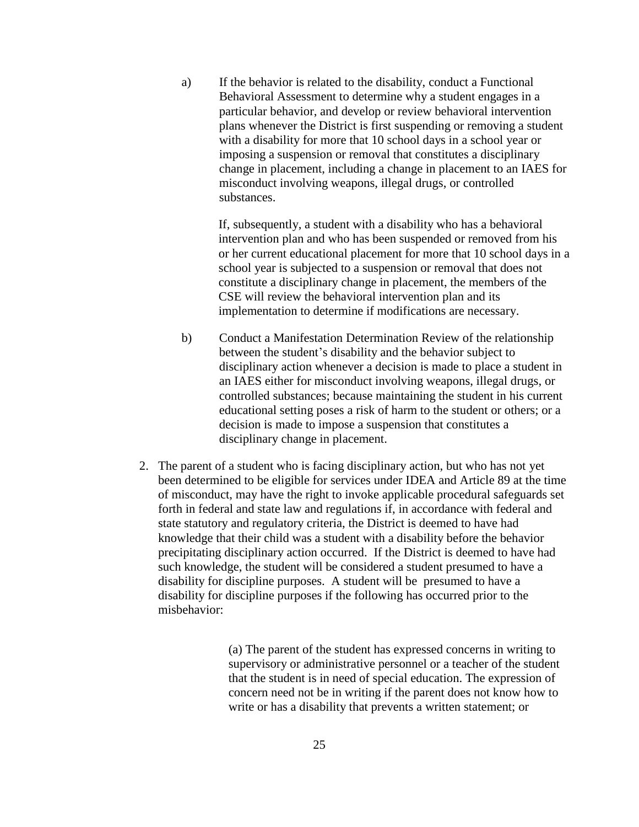a) If the behavior is related to the disability, conduct a Functional Behavioral Assessment to determine why a student engages in a particular behavior, and develop or review behavioral intervention plans whenever the District is first suspending or removing a student with a disability for more that 10 school days in a school year or imposing a suspension or removal that constitutes a disciplinary change in placement, including a change in placement to an IAES for misconduct involving weapons, illegal drugs, or controlled substances.

If, subsequently, a student with a disability who has a behavioral intervention plan and who has been suspended or removed from his or her current educational placement for more that 10 school days in a school year is subjected to a suspension or removal that does not constitute a disciplinary change in placement, the members of the CSE will review the behavioral intervention plan and its implementation to determine if modifications are necessary.

- b) Conduct a Manifestation Determination Review of the relationship between the student's disability and the behavior subject to disciplinary action whenever a decision is made to place a student in an IAES either for misconduct involving weapons, illegal drugs, or controlled substances; because maintaining the student in his current educational setting poses a risk of harm to the student or others; or a decision is made to impose a suspension that constitutes a disciplinary change in placement.
- 2. The parent of a student who is facing disciplinary action, but who has not yet been determined to be eligible for services under IDEA and Article 89 at the time of misconduct, may have the right to invoke applicable procedural safeguards set forth in federal and state law and regulations if, in accordance with federal and state statutory and regulatory criteria, the District is deemed to have had knowledge that their child was a student with a disability before the behavior precipitating disciplinary action occurred. If the District is deemed to have had such knowledge, the student will be considered a student presumed to have a disability for discipline purposes. A student will be presumed to have a disability for discipline purposes if the following has occurred prior to the misbehavior:

(a) The parent of the student has expressed concerns in writing to supervisory or administrative personnel or a teacher of the student that the student is in need of special education. The expression of concern need not be in writing if the parent does not know how to write or has a disability that prevents a written statement; or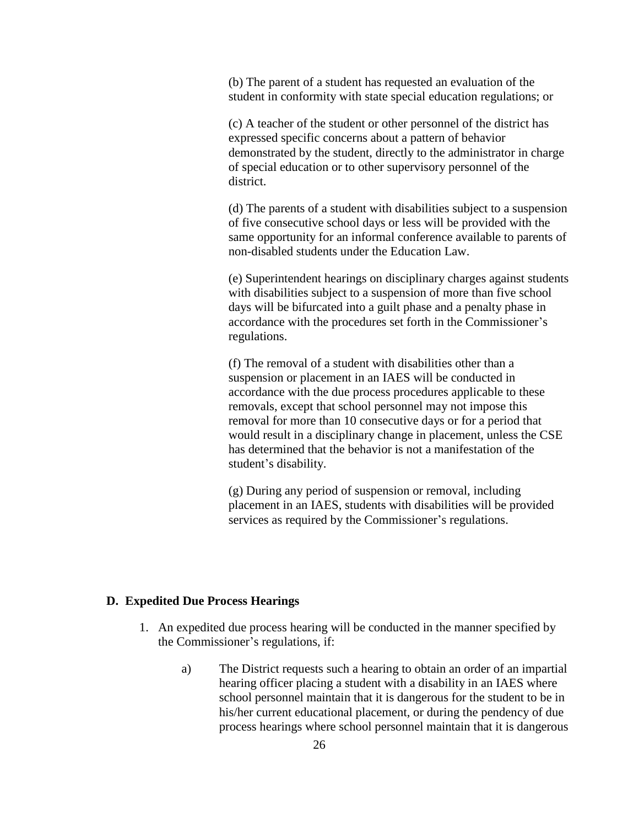(b) The parent of a student has requested an evaluation of the student in conformity with state special education regulations; or

(c) A teacher of the student or other personnel of the district has expressed specific concerns about a pattern of behavior demonstrated by the student, directly to the administrator in charge of special education or to other supervisory personnel of the district.

(d) The parents of a student with disabilities subject to a suspension of five consecutive school days or less will be provided with the same opportunity for an informal conference available to parents of non-disabled students under the Education Law.

(e) Superintendent hearings on disciplinary charges against students with disabilities subject to a suspension of more than five school days will be bifurcated into a guilt phase and a penalty phase in accordance with the procedures set forth in the Commissioner's regulations.

(f) The removal of a student with disabilities other than a suspension or placement in an IAES will be conducted in accordance with the due process procedures applicable to these removals, except that school personnel may not impose this removal for more than 10 consecutive days or for a period that would result in a disciplinary change in placement, unless the CSE has determined that the behavior is not a manifestation of the student's disability.

(g) During any period of suspension or removal, including placement in an IAES, students with disabilities will be provided services as required by the Commissioner's regulations.

#### **D. Expedited Due Process Hearings**

- 1. An expedited due process hearing will be conducted in the manner specified by the Commissioner's regulations, if:
	- a) The District requests such a hearing to obtain an order of an impartial hearing officer placing a student with a disability in an IAES where school personnel maintain that it is dangerous for the student to be in his/her current educational placement, or during the pendency of due process hearings where school personnel maintain that it is dangerous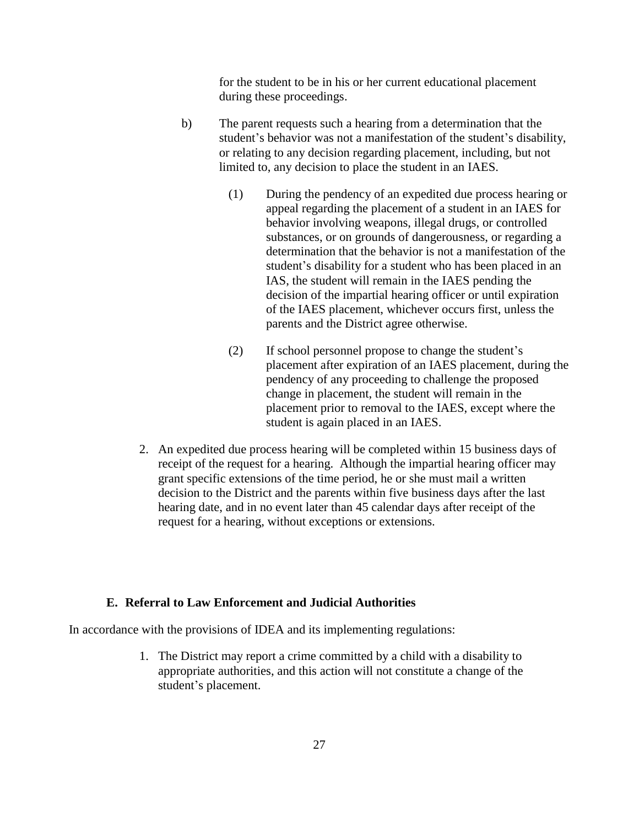for the student to be in his or her current educational placement during these proceedings.

- b) The parent requests such a hearing from a determination that the student's behavior was not a manifestation of the student's disability, or relating to any decision regarding placement, including, but not limited to, any decision to place the student in an IAES.
	- (1) During the pendency of an expedited due process hearing or appeal regarding the placement of a student in an IAES for behavior involving weapons, illegal drugs, or controlled substances, or on grounds of dangerousness, or regarding a determination that the behavior is not a manifestation of the student's disability for a student who has been placed in an IAS, the student will remain in the IAES pending the decision of the impartial hearing officer or until expiration of the IAES placement, whichever occurs first, unless the parents and the District agree otherwise.
	- (2) If school personnel propose to change the student's placement after expiration of an IAES placement, during the pendency of any proceeding to challenge the proposed change in placement, the student will remain in the placement prior to removal to the IAES, except where the student is again placed in an IAES.
- 2. An expedited due process hearing will be completed within 15 business days of receipt of the request for a hearing. Although the impartial hearing officer may grant specific extensions of the time period, he or she must mail a written decision to the District and the parents within five business days after the last hearing date, and in no event later than 45 calendar days after receipt of the request for a hearing, without exceptions or extensions.

## **E. Referral to Law Enforcement and Judicial Authorities**

In accordance with the provisions of IDEA and its implementing regulations:

1. The District may report a crime committed by a child with a disability to appropriate authorities, and this action will not constitute a change of the student's placement.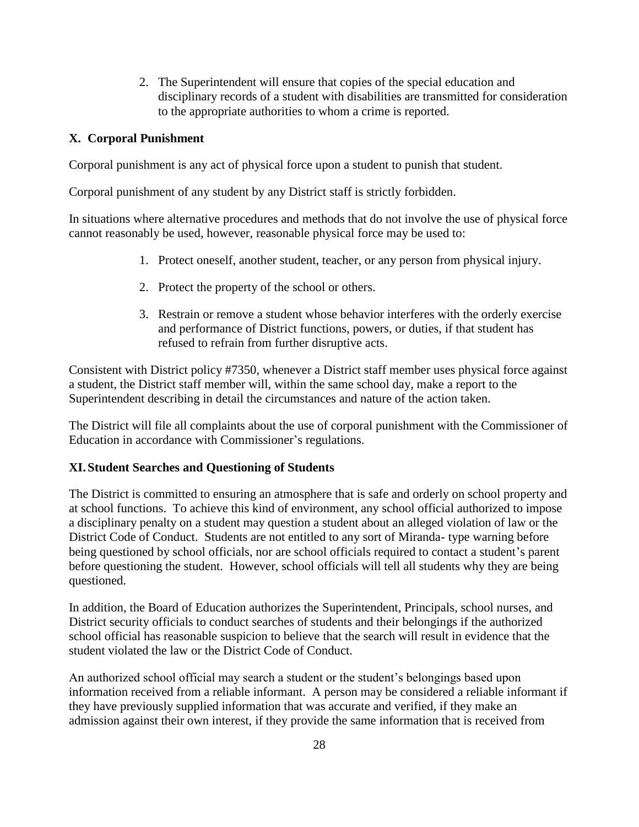2. The Superintendent will ensure that copies of the special education and disciplinary records of a student with disabilities are transmitted for consideration to the appropriate authorities to whom a crime is reported.

# **X. Corporal Punishment**

Corporal punishment is any act of physical force upon a student to punish that student.

Corporal punishment of any student by any District staff is strictly forbidden.

In situations where alternative procedures and methods that do not involve the use of physical force cannot reasonably be used, however, reasonable physical force may be used to:

- 1. Protect oneself, another student, teacher, or any person from physical injury.
- 2. Protect the property of the school or others.
- 3. Restrain or remove a student whose behavior interferes with the orderly exercise and performance of District functions, powers, or duties, if that student has refused to refrain from further disruptive acts.

Consistent with District policy #7350, whenever a District staff member uses physical force against a student, the District staff member will, within the same school day, make a report to the Superintendent describing in detail the circumstances and nature of the action taken.

The District will file all complaints about the use of corporal punishment with the Commissioner of Education in accordance with Commissioner's regulations.

## **XI. Student Searches and Questioning of Students**

The District is committed to ensuring an atmosphere that is safe and orderly on school property and at school functions. To achieve this kind of environment, any school official authorized to impose a disciplinary penalty on a student may question a student about an alleged violation of law or the District Code of Conduct. Students are not entitled to any sort of Miranda- type warning before being questioned by school officials, nor are school officials required to contact a student's parent before questioning the student. However, school officials will tell all students why they are being questioned.

In addition, the Board of Education authorizes the Superintendent, Principals, school nurses, and District security officials to conduct searches of students and their belongings if the authorized school official has reasonable suspicion to believe that the search will result in evidence that the student violated the law or the District Code of Conduct.

An authorized school official may search a student or the student's belongings based upon information received from a reliable informant. A person may be considered a reliable informant if they have previously supplied information that was accurate and verified, if they make an admission against their own interest, if they provide the same information that is received from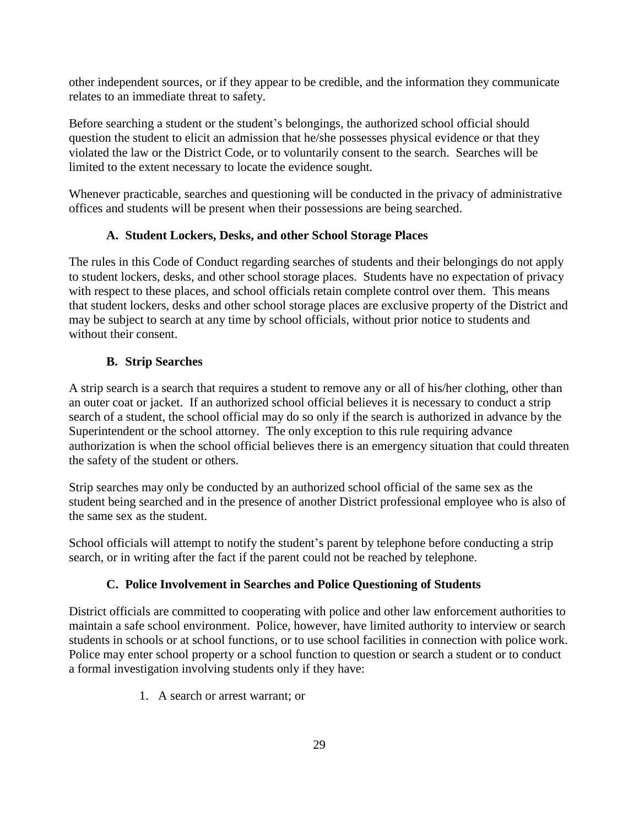other independent sources, or if they appear to be credible, and the information they communicate relates to an immediate threat to safety.

Before searching a student or the student's belongings, the authorized school official should question the student to elicit an admission that he/she possesses physical evidence or that they violated the law or the District Code, or to voluntarily consent to the search. Searches will be limited to the extent necessary to locate the evidence sought.

Whenever practicable, searches and questioning will be conducted in the privacy of administrative offices and students will be present when their possessions are being searched.

# **A. Student Lockers, Desks, and other School Storage Places**

The rules in this Code of Conduct regarding searches of students and their belongings do not apply to student lockers, desks, and other school storage places. Students have no expectation of privacy with respect to these places, and school officials retain complete control over them. This means that student lockers, desks and other school storage places are exclusive property of the District and may be subject to search at any time by school officials, without prior notice to students and without their consent.

# **B. Strip Searches**

A strip search is a search that requires a student to remove any or all of his/her clothing, other than an outer coat or jacket. If an authorized school official believes it is necessary to conduct a strip search of a student, the school official may do so only if the search is authorized in advance by the Superintendent or the school attorney. The only exception to this rule requiring advance authorization is when the school official believes there is an emergency situation that could threaten the safety of the student or others.

Strip searches may only be conducted by an authorized school official of the same sex as the student being searched and in the presence of another District professional employee who is also of the same sex as the student.

School officials will attempt to notify the student's parent by telephone before conducting a strip search, or in writing after the fact if the parent could not be reached by telephone.

# **C. Police Involvement in Searches and Police Questioning of Students**

District officials are committed to cooperating with police and other law enforcement authorities to maintain a safe school environment. Police, however, have limited authority to interview or search students in schools or at school functions, or to use school facilities in connection with police work. Police may enter school property or a school function to question or search a student or to conduct a formal investigation involving students only if they have:

1. A search or arrest warrant; or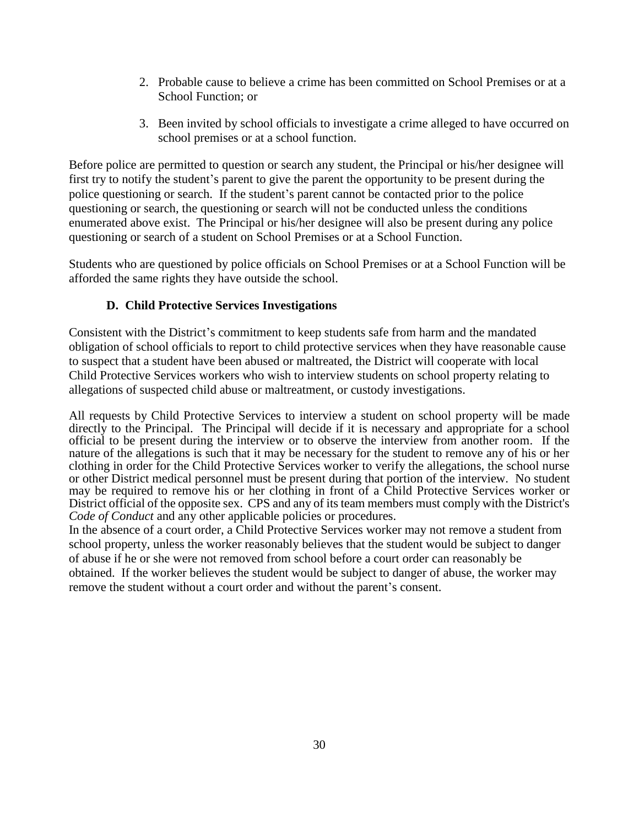- 2. Probable cause to believe a crime has been committed on School Premises or at a School Function; or
- 3. Been invited by school officials to investigate a crime alleged to have occurred on school premises or at a school function.

Before police are permitted to question or search any student, the Principal or his/her designee will first try to notify the student's parent to give the parent the opportunity to be present during the police questioning or search. If the student's parent cannot be contacted prior to the police questioning or search, the questioning or search will not be conducted unless the conditions enumerated above exist. The Principal or his/her designee will also be present during any police questioning or search of a student on School Premises or at a School Function.

Students who are questioned by police officials on School Premises or at a School Function will be afforded the same rights they have outside the school.

# **D. Child Protective Services Investigations**

Consistent with the District's commitment to keep students safe from harm and the mandated obligation of school officials to report to child protective services when they have reasonable cause to suspect that a student have been abused or maltreated, the District will cooperate with local Child Protective Services workers who wish to interview students on school property relating to allegations of suspected child abuse or maltreatment, or custody investigations.

All requests by Child Protective Services to interview a student on school property will be made directly to the Principal. The Principal will decide if it is necessary and appropriate for a school official to be present during the interview or to observe the interview from another room. If the nature of the allegations is such that it may be necessary for the student to remove any of his or her clothing in order for the Child Protective Services worker to verify the allegations, the school nurse or other District medical personnel must be present during that portion of the interview. No student may be required to remove his or her clothing in front of a Child Protective Services worker or District official of the opposite sex. CPS and any of its team members must comply with the District's *Code of Conduct* and any other applicable policies or procedures.

In the absence of a court order, a Child Protective Services worker may not remove a student from school property, unless the worker reasonably believes that the student would be subject to danger of abuse if he or she were not removed from school before a court order can reasonably be obtained. If the worker believes the student would be subject to danger of abuse, the worker may remove the student without a court order and without the parent's consent.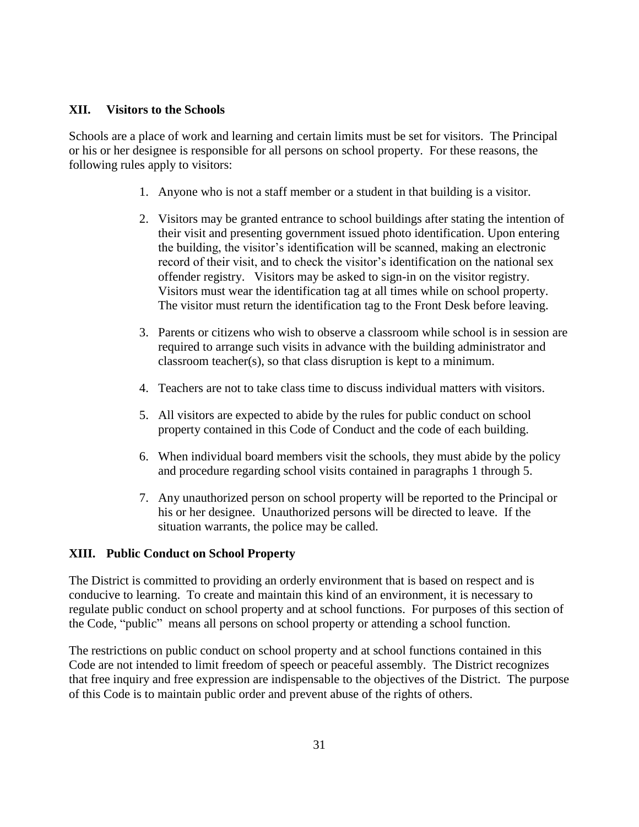## **XII. Visitors to the Schools**

Schools are a place of work and learning and certain limits must be set for visitors. The Principal or his or her designee is responsible for all persons on school property. For these reasons, the following rules apply to visitors:

- 1. Anyone who is not a staff member or a student in that building is a visitor.
- 2. Visitors may be granted entrance to school buildings after stating the intention of their visit and presenting government issued photo identification. Upon entering the building, the visitor's identification will be scanned, making an electronic record of their visit, and to check the visitor's identification on the national sex offender registry. Visitors may be asked to sign-in on the visitor registry. Visitors must wear the identification tag at all times while on school property. The visitor must return the identification tag to the Front Desk before leaving.
- 3. Parents or citizens who wish to observe a classroom while school is in session are required to arrange such visits in advance with the building administrator and classroom teacher(s), so that class disruption is kept to a minimum.
- 4. Teachers are not to take class time to discuss individual matters with visitors.
- 5. All visitors are expected to abide by the rules for public conduct on school property contained in this Code of Conduct and the code of each building.
- 6. When individual board members visit the schools, they must abide by the policy and procedure regarding school visits contained in paragraphs 1 through 5.
- 7. Any unauthorized person on school property will be reported to the Principal or his or her designee. Unauthorized persons will be directed to leave. If the situation warrants, the police may be called.

## **XIII. Public Conduct on School Property**

The District is committed to providing an orderly environment that is based on respect and is conducive to learning. To create and maintain this kind of an environment, it is necessary to regulate public conduct on school property and at school functions. For purposes of this section of the Code, "public" means all persons on school property or attending a school function.

The restrictions on public conduct on school property and at school functions contained in this Code are not intended to limit freedom of speech or peaceful assembly. The District recognizes that free inquiry and free expression are indispensable to the objectives of the District. The purpose of this Code is to maintain public order and prevent abuse of the rights of others.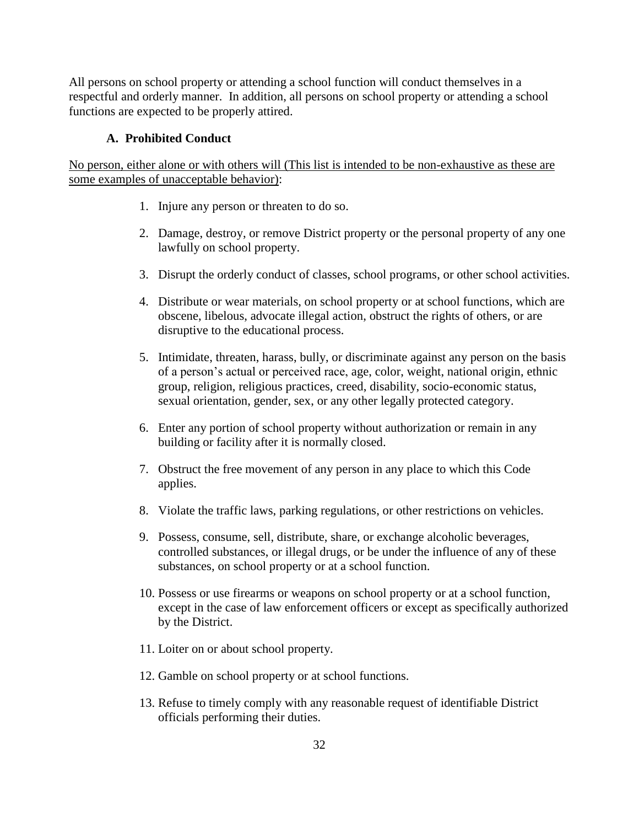All persons on school property or attending a school function will conduct themselves in a respectful and orderly manner. In addition, all persons on school property or attending a school functions are expected to be properly attired.

# **A. Prohibited Conduct**

No person, either alone or with others will (This list is intended to be non-exhaustive as these are some examples of unacceptable behavior):

- 1. Injure any person or threaten to do so.
- 2. Damage, destroy, or remove District property or the personal property of any one lawfully on school property.
- 3. Disrupt the orderly conduct of classes, school programs, or other school activities.
- 4. Distribute or wear materials, on school property or at school functions, which are obscene, libelous, advocate illegal action, obstruct the rights of others, or are disruptive to the educational process.
- 5. Intimidate, threaten, harass, bully, or discriminate against any person on the basis of a person's actual or perceived race, age, color, weight, national origin, ethnic group, religion, religious practices, creed, disability, socio-economic status, sexual orientation, gender, sex, or any other legally protected category.
- 6. Enter any portion of school property without authorization or remain in any building or facility after it is normally closed.
- 7. Obstruct the free movement of any person in any place to which this Code applies.
- 8. Violate the traffic laws, parking regulations, or other restrictions on vehicles.
- 9. Possess, consume, sell, distribute, share, or exchange alcoholic beverages, controlled substances, or illegal drugs, or be under the influence of any of these substances, on school property or at a school function.
- 10. Possess or use firearms or weapons on school property or at a school function, except in the case of law enforcement officers or except as specifically authorized by the District.
- 11. Loiter on or about school property.
- 12. Gamble on school property or at school functions.
- 13. Refuse to timely comply with any reasonable request of identifiable District officials performing their duties.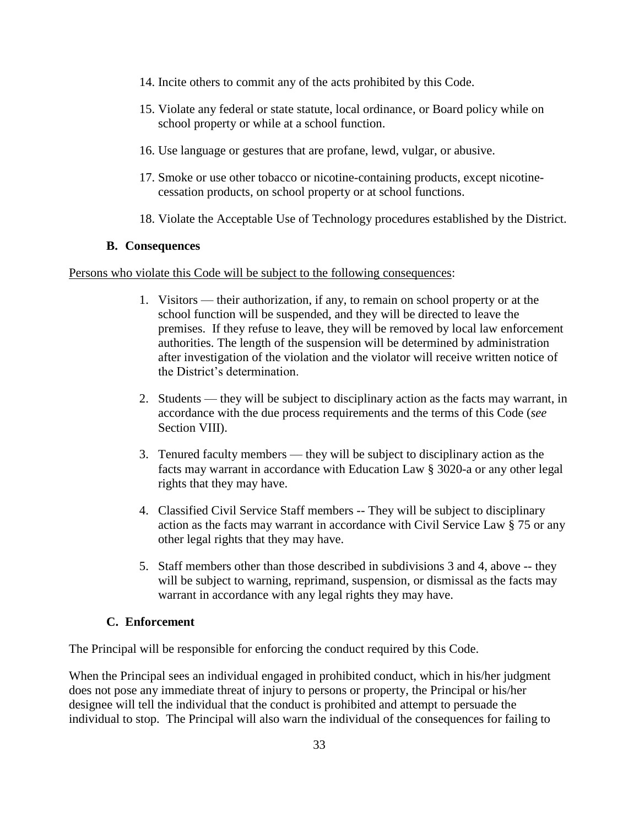- 14. Incite others to commit any of the acts prohibited by this Code.
- 15. Violate any federal or state statute, local ordinance, or Board policy while on school property or while at a school function.
- 16. Use language or gestures that are profane, lewd, vulgar, or abusive.
- 17. Smoke or use other tobacco or nicotine-containing products, except nicotinecessation products, on school property or at school functions.
- 18. Violate the Acceptable Use of Technology procedures established by the District.

#### **B. Consequences**

Persons who violate this Code will be subject to the following consequences:

- 1. Visitors their authorization, if any, to remain on school property or at the school function will be suspended, and they will be directed to leave the premises. If they refuse to leave, they will be removed by local law enforcement authorities. The length of the suspension will be determined by administration after investigation of the violation and the violator will receive written notice of the District's determination.
- 2. Students they will be subject to disciplinary action as the facts may warrant, in accordance with the due process requirements and the terms of this Code (*see* Section VIII).
- 3. Tenured faculty members they will be subject to disciplinary action as the facts may warrant in accordance with Education Law § 3020-a or any other legal rights that they may have.
- 4. Classified Civil Service Staff members -- They will be subject to disciplinary action as the facts may warrant in accordance with Civil Service Law § 75 or any other legal rights that they may have.
- 5. Staff members other than those described in subdivisions 3 and 4, above -- they will be subject to warning, reprimand, suspension, or dismissal as the facts may warrant in accordance with any legal rights they may have.

## **C. Enforcement**

The Principal will be responsible for enforcing the conduct required by this Code.

When the Principal sees an individual engaged in prohibited conduct, which in his/her judgment does not pose any immediate threat of injury to persons or property, the Principal or his/her designee will tell the individual that the conduct is prohibited and attempt to persuade the individual to stop. The Principal will also warn the individual of the consequences for failing to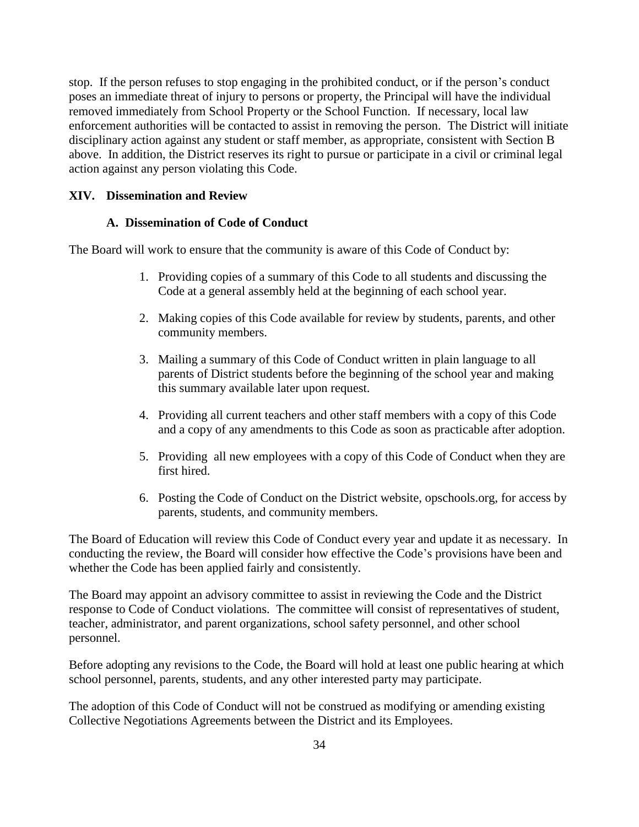stop. If the person refuses to stop engaging in the prohibited conduct, or if the person's conduct poses an immediate threat of injury to persons or property, the Principal will have the individual removed immediately from School Property or the School Function. If necessary, local law enforcement authorities will be contacted to assist in removing the person. The District will initiate disciplinary action against any student or staff member, as appropriate, consistent with Section B above. In addition, the District reserves its right to pursue or participate in a civil or criminal legal action against any person violating this Code.

## **XIV. Dissemination and Review**

## **A. Dissemination of Code of Conduct**

The Board will work to ensure that the community is aware of this Code of Conduct by:

- 1. Providing copies of a summary of this Code to all students and discussing the Code at a general assembly held at the beginning of each school year.
- 2. Making copies of this Code available for review by students, parents, and other community members.
- 3. Mailing a summary of this Code of Conduct written in plain language to all parents of District students before the beginning of the school year and making this summary available later upon request.
- 4. Providing all current teachers and other staff members with a copy of this Code and a copy of any amendments to this Code as soon as practicable after adoption.
- 5. Providing all new employees with a copy of this Code of Conduct when they are first hired.
- 6. Posting the Code of Conduct on the District website, opschools.org, for access by parents, students, and community members.

The Board of Education will review this Code of Conduct every year and update it as necessary. In conducting the review, the Board will consider how effective the Code's provisions have been and whether the Code has been applied fairly and consistently.

The Board may appoint an advisory committee to assist in reviewing the Code and the District response to Code of Conduct violations. The committee will consist of representatives of student, teacher, administrator, and parent organizations, school safety personnel, and other school personnel.

Before adopting any revisions to the Code, the Board will hold at least one public hearing at which school personnel, parents, students, and any other interested party may participate.

The adoption of this Code of Conduct will not be construed as modifying or amending existing Collective Negotiations Agreements between the District and its Employees.